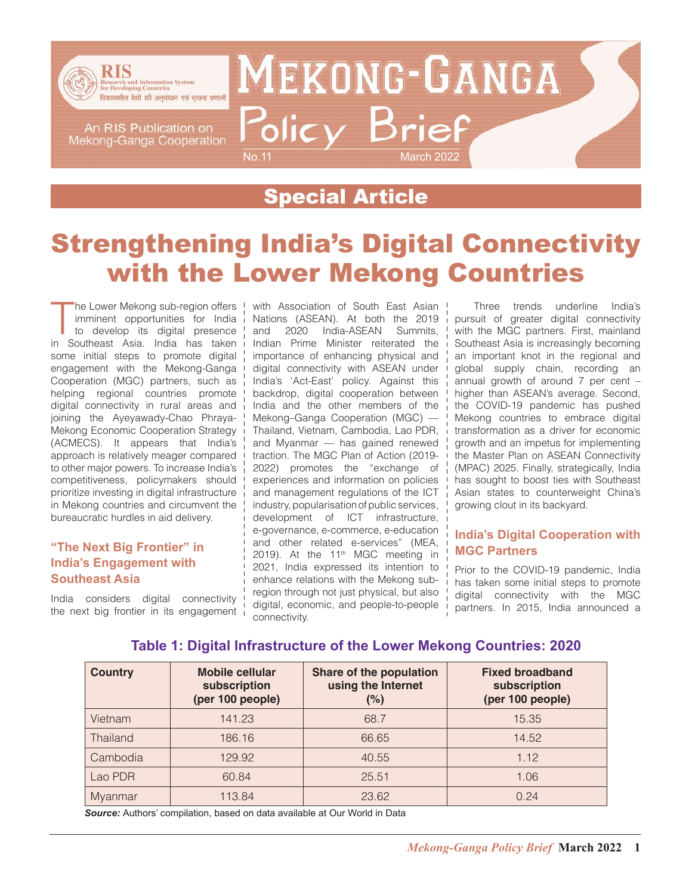

An RIS Publication on Mekong-Ganga Cooperation **MEKONG-GANGA** Policy Brief No.11 March 2022

### Special Article

## Strengthening India's Digital Connectivity with the Lower Mekong Countries

The Lower Mekong sub-region offers<br>
imminent opportunities for India<br>
to develop its digital presence<br>
in Southeast Asia. India has taken he Lower Mekong sub-region offers imminent opportunities for India to develop its digital presence some initial steps to promote digital engagement with the Mekong-Ganga Cooperation (MGC) partners, such as helping regional countries promote digital connectivity in rural areas and joining the Ayeyawady-Chao Phraya-Mekong Economic Cooperation Strategy (ACMECS). It appears that India's approach is relatively meager compared to other major powers. To increase India's competitiveness, policymakers should prioritize investing in digital infrastructure in Mekong countries and circumvent the bureaucratic hurdles in aid delivery.

#### **"The Next Big Frontier" in India's Engagement with Southeast Asia**

India considers digital connectivity the next big frontier in its engagement  $\frac{1}{1}$  with Association of South East Asian Nations (ASEAN). At both the 2019 and 2020 India-ASEAN Summits, Indian Prime Minister reiterated the importance of enhancing physical and digital connectivity with ASEAN under India's 'Act-East' policy. Against this backdrop, digital cooperation between India and the other members of the Mekong–Ganga Cooperation (MGC) — Thailand, Vietnam, Cambodia, Lao PDR, and Myanmar — has gained renewed traction. The MGC Plan of Action (2019- 2022) promotes the "exchange of experiences and information on policies and management regulations of the ICT industry, popularisation of public services, development of ICT infrastructure, e-governance, e-commerce, e-education and other related e-services" (MEA, 2019). At the  $11<sup>th</sup>$  MGC meeting in 2021, India expressed its intention to enhance relations with the Mekong subregion through not just physical, but also digital, economic, and people-to-people connectivity.

Three trends underline India's pursuit of greater digital connectivity with the MGC partners. First, mainland Southeast Asia is increasingly becoming an important knot in the regional and global supply chain, recording an annual growth of around 7 per cent – higher than ASEAN's average. Second, the COVID-19 pandemic has pushed Mekong countries to embrace digital transformation as a driver for economic growth and an impetus for implementing the Master Plan on ASEAN Connectivity (MPAC) 2025. Finally, strategically, India has sought to boost ties with Southeast Asian states to counterweight China's growing clout in its backyard.

### **India's Digital Cooperation with MGC Partners**

Prior to the COVID-19 pandemic, India has taken some initial steps to promote digital connectivity with the MGC partners. In 2015, India announced a

### **Table 1: Digital Infrastructure of the Lower Mekong Countries: 2020**

| <b>Country</b>  | Mobile cellular<br>subscription<br>(per 100 people) | <b>Share of the population</b><br>using the Internet<br>(%) | <b>Fixed broadband</b><br>subscription<br>(per 100 people) |
|-----------------|-----------------------------------------------------|-------------------------------------------------------------|------------------------------------------------------------|
| Vietnam         | 141.23                                              | 68.7                                                        | 15.35                                                      |
| <b>Thailand</b> | 186.16                                              | 66.65                                                       | 14.52                                                      |
| Cambodia        | 129.92                                              | 40.55                                                       | 1.12                                                       |
| Lao PDR         | 60.84                                               | 25.51                                                       | 1.06                                                       |
| <b>Myanmar</b>  | 113.84                                              | 23.62                                                       | 0.24                                                       |

*Source:* Authors' compilation, based on data available at Our World in Data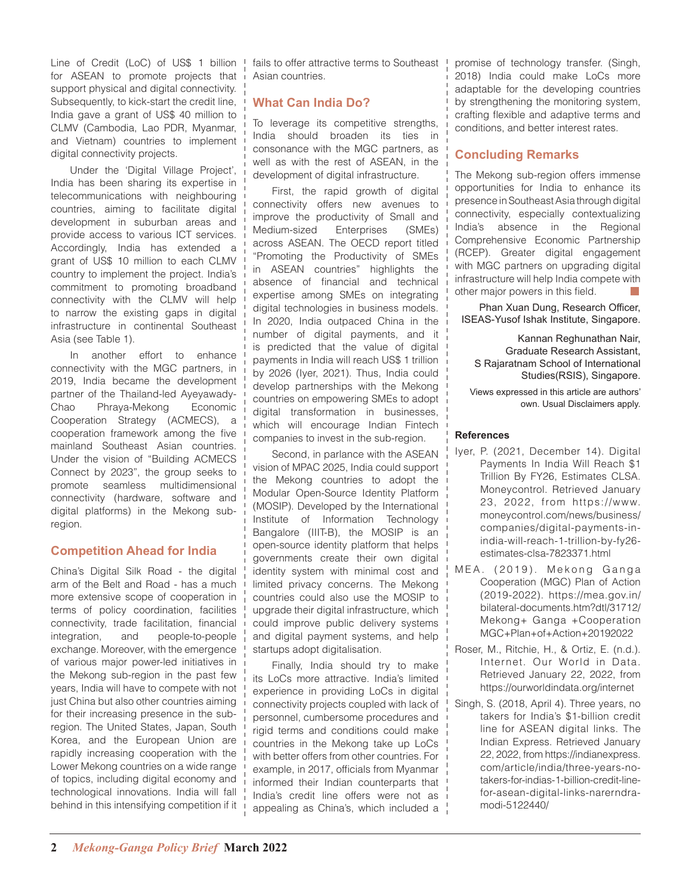Line of Credit (LoC) of US\$ 1 billion for ASEAN to promote projects that support physical and digital connectivity. Subsequently, to kick-start the credit line, India gave a grant of US\$ 40 million to CLMV (Cambodia, Lao PDR, Myanmar, and Vietnam) countries to implement digital connectivity projects.

Under the 'Digital Village Project', India has been sharing its expertise in telecommunications with neighbouring countries, aiming to facilitate digital development in suburban areas and provide access to various ICT services. Accordingly, India has extended a grant of US\$ 10 million to each CLMV country to implement the project. India's commitment to promoting broadband connectivity with the CLMV will help to narrow the existing gaps in digital infrastructure in continental Southeast Asia (see Table 1).

In another effort to enhance connectivity with the MGC partners, in 2019, India became the development partner of the Thailand-led Ayeyawady-Chao Phraya-Mekong Economic Cooperation Strategy (ACMECS), a cooperation framework among the five mainland Southeast Asian countries. Under the vision of "Building ACMECS Connect by 2023", the group seeks to promote seamless multidimensional connectivity (hardware, software and digital platforms) in the Mekong subregion.

#### **Competition Ahead for India**

China's Digital Silk Road - the digital arm of the Belt and Road - has a much more extensive scope of cooperation in terms of policy coordination, facilities connectivity, trade facilitation, financial integration, and people-to-people exchange. Moreover, with the emergence of various major power-led initiatives in the Mekong sub-region in the past few years, India will have to compete with not just China but also other countries aiming for their increasing presence in the subregion. The United States, Japan, South Korea, and the European Union are rapidly increasing cooperation with the Lower Mekong countries on a wide range of topics, including digital economy and technological innovations. India will fall behind in this intensifying competition if it

fails to offer attractive terms to Southeast Asian countries.

### **What Can India Do?**

To leverage its competitive strengths, India should broaden its ties in consonance with the MGC partners, as well as with the rest of ASEAN, in the development of digital infrastructure.

First, the rapid growth of digital connectivity offers new avenues to improve the productivity of Small and Medium-sized Enterprises (SMEs) across ASEAN. The OECD report titled "Promoting the Productivity of SMEs in ASEAN countries" highlights the absence of financial and technical expertise among SMEs on integrating digital technologies in business models. In 2020, India outpaced China in the number of digital payments, and it is predicted that the value of digital payments in India will reach US\$ 1 trillion by 2026 (Iyer, 2021). Thus, India could develop partnerships with the Mekong countries on empowering SMEs to adopt digital transformation in businesses, which will encourage Indian Fintech companies to invest in the sub-region.

Second, in parlance with the ASEAN vision of MPAC 2025, India could support the Mekong countries to adopt the Modular Open-Source Identity Platform (MOSIP). Developed by the International Institute of Information Technology Bangalore (IIIT-B), the MOSIP is an open-source identity platform that helps governments create their own digital identity system with minimal cost and limited privacy concerns. The Mekong countries could also use the MOSIP to upgrade their digital infrastructure, which could improve public delivery systems and digital payment systems, and help startups adopt digitalisation.

Finally, India should try to make its LoCs more attractive. India's limited experience in providing LoCs in digital connectivity projects coupled with lack of personnel, cumbersome procedures and rigid terms and conditions could make countries in the Mekong take up LoCs with better offers from other countries. For example, in 2017, officials from Myanmar informed their Indian counterparts that India's credit line offers were not as appealing as China's, which included a  $\frac{1}{1}$  promise of technology transfer. (Singh, 2018) India could make LoCs more adaptable for the developing countries by strengthening the monitoring system, crafting flexible and adaptive terms and conditions, and better interest rates.

### **Concluding Remarks**

The Mekong sub-region offers immense opportunities for India to enhance its presence in Southeast Asia through digital connectivity, especially contextualizing India's absence in the Regional Comprehensive Economic Partnership (RCEP). Greater digital engagement with MGC partners on upgrading digital infrastructure will help India compete with other major powers in this field.

Phan Xuan Dung, Research Officer, ISEAS-Yusof Ishak Institute, Singapore.

Kannan Reghunathan Nair, Graduate Research Assistant, S Rajaratnam School of International Studies(RSIS), Singapore.

Views expressed in this article are authors' own. Usual Disclaimers apply.

#### **References**

- Iyer, P. (2021, December 14). Digital Payments In India Will Reach \$1 Trillion By FY26, Estimates CLSA. Moneycontrol. Retrieved January 23, 2022, from https://www. moneycontrol.com/news/business/ companies/digital-payments-inindia-will-reach-1-trillion-by-fy26 estimates-clsa-7823371.html
- MEA. (2019). Mekong Ganga Cooperation (MGC) Plan of Action (2019-2022). https://mea.gov.in/ bilateral-documents.htm?dtl/31712/ Mekong+ Ganga +Cooperation MGC+Plan+of+Action+20192022
- Roser, M., Ritchie, H., & Ortiz, E. (n.d.). Internet. Our World in Data. Retrieved January 22, 2022, from https://ourworldindata.org/internet
- Singh, S. (2018, April 4). Three years, no takers for India's \$1-billion credit line for ASEAN digital links. The Indian Express. Retrieved January 22, 2022, from https://indianexpress. com/article/india/three-years-notakers-for-indias-1-billion-credit-linefor-asean-digital-links-narerndramodi-5122440/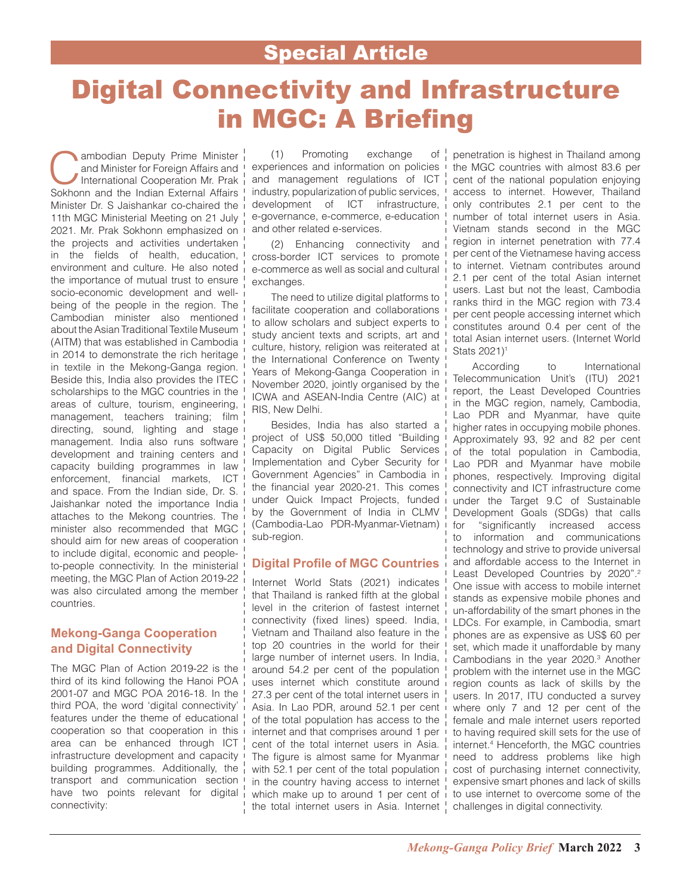### Special Article

## Digital Connectivity and Infrastructure in MGC: A Briefing

**Cambodian Deputy Prime Minister**<br>and Minister for Foreign Affairs and<br>International Cooperation Mr. Prak<br>Sokhonn and the Indian External Affairs and Minister for Foreign Affairs and International Cooperation Mr. Prak Sokhonn and the Indian External Affairs Minister Dr. S Jaishankar co-chaired the 11th MGC Ministerial Meeting on 21 July 2021. Mr. Prak Sokhonn emphasized on the projects and activities undertaken in the fields of health, education, environment and culture. He also noted the importance of mutual trust to ensure socio-economic development and wellbeing of the people in the region. The Cambodian minister also mentioned about the Asian Traditional Textile Museum (AITM) that was established in Cambodia in 2014 to demonstrate the rich heritage in textile in the Mekong-Ganga region. Beside this, India also provides the ITEC scholarships to the MGC countries in the areas of culture, tourism, engineering, management, teachers training; film directing, sound, lighting and stage management. India also runs software development and training centers and capacity building programmes in law enforcement, financial markets, ICT and space. From the Indian side, Dr. S. Jaishankar noted the importance India attaches to the Mekong countries. The minister also recommended that MGC should aim for new areas of cooperation to include digital, economic and peopleto-people connectivity. In the ministerial meeting, the MGC Plan of Action 2019-22 was also circulated among the member countries.

#### **Mekong-Ganga Cooperation and Digital Connectivity**

The MGC Plan of Action 2019-22 is the third of its kind following the Hanoi POA 2001-07 and MGC POA 2016-18. In the third POA, the word 'digital connectivity' features under the theme of educational ! cooperation so that cooperation in this area can be enhanced through ICT  $\frac{1}{2}$ infrastructure development and capacity building programmes. Additionally, the transport and communication section have two points relevant for digital connectivity:

(1) Promoting exchange of experiences and information on policies and management regulations of ICT industry, popularization of public services, development of ICT infrastructure, e-governance, e-commerce, e-education and other related e-services.

(2) Enhancing connectivity and cross-border ICT services to promote e-commerce as well as social and cultural exchanges.

The need to utilize digital platforms to facilitate cooperation and collaborations to allow scholars and subject experts to study ancient texts and scripts, art and culture, history, religion was reiterated at the International Conference on Twenty Years of Mekong-Ganga Cooperation in November 2020, jointly organised by the ICWA and ASEAN-India Centre (AIC) at RIS, New Delhi.

Besides, India has also started a project of US\$ 50,000 titled "Building Capacity on Digital Public Services Implementation and Cyber Security for Government Agencies" in Cambodia in the financial year 2020-21. This comes under Quick Impact Projects, funded by the Government of India in CLMV (Cambodia-Lao PDR-Myanmar-Vietnam) sub-region.

#### **Digital Profile of MGC Countries**

Internet World Stats (2021) indicates that Thailand is ranked fifth at the global level in the criterion of fastest internet connectivity (fixed lines) speed. India, Vietnam and Thailand also feature in the top 20 countries in the world for their large number of internet users. In India, around 54.2 per cent of the population uses internet which constitute around 27.3 per cent of the total internet users in Asia. In Lao PDR, around 52.1 per cent of the total population has access to the internet and that comprises around 1 per cent of the total internet users in Asia. The figure is almost same for Myanmar with 52.1 per cent of the total population in the country having access to internet which make up to around 1 per cent of the total internet users in Asia. Internet | challenges in digital connectivity.

penetration is highest in Thailand among the MGC countries with almost 83.6 per cent of the national population enjoying access to internet. However, Thailand only contributes 2.1 per cent to the number of total internet users in Asia. Vietnam stands second in the MGC region in internet penetration with 77.4 per cent of the Vietnamese having access to internet. Vietnam contributes around 2.1 per cent of the total Asian internet users. Last but not the least, Cambodia ranks third in the MGC region with 73.4 per cent people accessing internet which constitutes around 0.4 per cent of the total Asian internet users. (Internet World Stats 2021)<sup>1</sup>

According to International Telecommunication Unit's (ITU) 2021 report, the Least Developed Countries in the MGC region, namely, Cambodia, Lao PDR and Myanmar, have quite higher rates in occupying mobile phones. Approximately 93, 92 and 82 per cent of the total population in Cambodia, Lao PDR and Myanmar have mobile phones, respectively. Improving digital connectivity and ICT infrastructure come under the Target 9.C of Sustainable Development Goals (SDGs) that calls for "significantly increased access to information and communications technology and strive to provide universal and affordable access to the Internet in Least Developed Countries by 2020".<sup>2</sup> One issue with access to mobile internet stands as expensive mobile phones and un-affordability of the smart phones in the LDCs. For example, in Cambodia, smart phones are as expensive as US\$ 60 per set, which made it unaffordable by many Cambodians in the year 2020.3 Another problem with the internet use in the MGC region counts as lack of skills by the users. In 2017, ITU conducted a survey where only 7 and 12 per cent of the female and male internet users reported to having required skill sets for the use of internet.4 Henceforth, the MGC countries need to address problems like high cost of purchasing internet connectivity, expensive smart phones and lack of skills to use internet to overcome some of the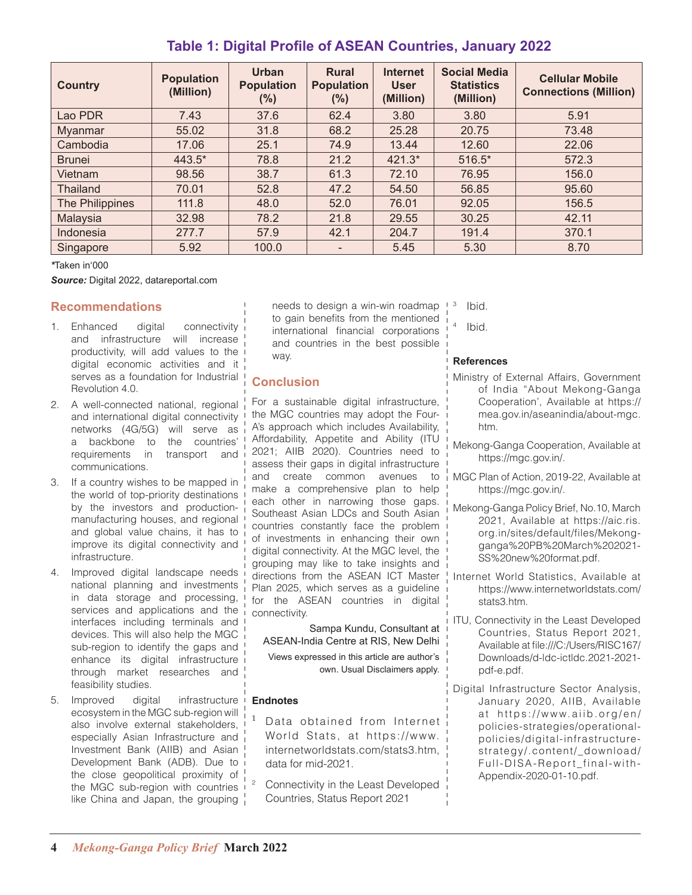| <b>Country</b>  | <b>Population</b><br>(Million) | <b>Urban</b><br><b>Population</b><br>$(\%)$ | <b>Rural</b><br><b>Population</b><br>$(\%)$ | <b>Internet</b><br><b>User</b><br>(Million) | <b>Social Media</b><br><b>Statistics</b><br>(Million) | <b>Cellular Mobile</b><br><b>Connections (Million)</b> |  |
|-----------------|--------------------------------|---------------------------------------------|---------------------------------------------|---------------------------------------------|-------------------------------------------------------|--------------------------------------------------------|--|
| Lao PDR         | 7.43                           | 37.6                                        | 62.4                                        | 3.80                                        | 3.80                                                  | 5.91                                                   |  |
| <b>Myanmar</b>  | 55.02                          | 31.8                                        | 68.2                                        | 25.28                                       | 20.75                                                 | 73.48                                                  |  |
| Cambodia        | 17.06                          | 25.1                                        | 74.9                                        | 13.44                                       | 12.60                                                 | 22.06                                                  |  |
| <b>Brunei</b>   | 443.5*                         | 78.8                                        | 21.2                                        | $421.3*$                                    | 516.5*                                                | 572.3                                                  |  |
| Vietnam         | 98.56                          | 38.7                                        | 61.3                                        | 72.10                                       | 76.95                                                 | 156.0                                                  |  |
| <b>Thailand</b> | 70.01                          | 52.8                                        | 47.2                                        | 54.50                                       | 56.85                                                 | 95.60                                                  |  |
| The Philippines | 111.8                          | 48.0                                        | 52.0                                        | 76.01                                       | 92.05                                                 | 156.5                                                  |  |
| Malaysia        | 32.98                          | 78.2                                        | 21.8                                        | 29.55                                       | 30.25                                                 | 42.11                                                  |  |
| Indonesia       | 277.7                          | 57.9                                        | 42.1                                        | 204.7                                       | 191.4                                                 | 370.1                                                  |  |
| Singapore       | 5.92                           | 100.0                                       | $\overline{\phantom{0}}$                    | 5.45                                        | 5.30                                                  | 8.70                                                   |  |

### **Table 1: Digital Profile of ASEAN Countries, January 2022**

*\**Taken in'000

*Source:* Digital 2022, datareportal.com

#### **Recommendations**

- 1. Enhanced digital connectivity and infrastructure will increase productivity, will add values to the digital economic activities and it serves as a foundation for Industrial Revolution 4.0.
- 2. A well-connected national, regional and international digital connectivity networks (4G/5G) will serve as a backbone to the countries' requirements in transport and communications.
- 3. If a country wishes to be mapped in the world of top-priority destinations by the investors and productionmanufacturing houses, and regional and global value chains, it has to improve its digital connectivity and infrastructure.
- 4. Improved digital landscape needs national planning and investments in data storage and processing, services and applications and the interfaces including terminals and devices. This will also help the MGC sub-region to identify the gaps and enhance its digital infrastructure through market researches and feasibility studies.
- 5. Improved digital infrastructure ecosystem in the MGC sub-region will also involve external stakeholders, especially Asian Infrastructure and Investment Bank (AIIB) and Asian Development Bank (ADB). Due to the close geopolitical proximity of the MGC sub-region with countries like China and Japan, the grouping

needs to design a win-win roadmap  $+3$ to gain benefits from the mentioned international financial corporations and countries in the best possible way.

#### **Conclusion**

For a sustainable digital infrastructure, the MGC countries may adopt the Four-A's approach which includes Availability, Affordability, Appetite and Ability (ITU 2021; AIIB 2020). Countries need to assess their gaps in digital infrastructure and create common avenues to make a comprehensive plan to help each other in narrowing those gaps. Southeast Asian LDCs and South Asian countries constantly face the problem of investments in enhancing their own digital connectivity. At the MGC level, the grouping may like to take insights and directions from the ASEAN ICT Master Plan 2025, which serves as a guideline for the ASEAN countries in digital connectivity.

Sampa Kundu, Consultant at ASEAN-India Centre at RIS, New Delhi

Views expressed in this article are author's own. Usual Disclaimers apply.

#### **Endnotes**

- Data obtained from Internet World Stats, at https://www. internetworldstats.com/stats3.htm, data for mid-2021.
- <sup>2</sup> Connectivity in the Least Developed Countries, Status Report 2021

Ibid.

Ibid.

#### **References**

- Ministry of External Affairs, Government of India "About Mekong-Ganga Cooperation', Available at https:// mea.gov.in/aseanindia/about-mgc. htm.
- Mekong-Ganga Cooperation, Available at https://mgc.gov.in/.
- MGC Plan of Action, 2019-22, Available at https://mgc.gov.in/.
- Mekong-Ganga Policy Brief, No.10, March 2021, Available at https://aic.ris. org.in/sites/default/files/Mekongganga%20PB%20March%202021- SS%20new%20format.pdf.
- Internet World Statistics, Available at https://www.internetworldstats.com/ stats3.htm.
- ITU, Connectivity in the Least Developed Countries, Status Report 2021, Available at file:///C:/Users/RISC167/ Downloads/d-ldc-ictldc.2021-2021 pdf-e.pdf.
- Digital Infrastructure Sector Analysis, January 2020, AIIB, Available at https://www.aiib.org/en/ policies-strategies/operationalpolicies/digital-infrastructurestrategy/.content/\_download/ Full-DISA-Report\_final-with-Appendix-2020-01-10.pdf.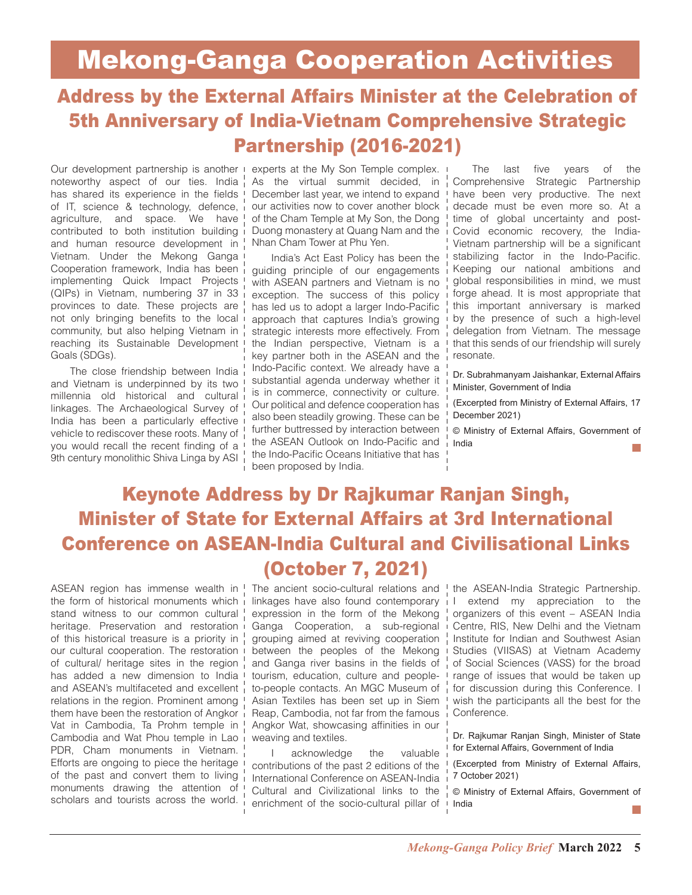## Address by the External Affairs Minister at the Celebration of 5th Anniversary of India-Vietnam Comprehensive Strategic Partnership (2016-2021)

Our development partnership is another experts at the My Son Temple complex. noteworthy aspect of our ties. India  $\frac{1}{1}$ has shared its experience in the fields I of IT, science & technology, defence, agriculture, and space. We have contributed to both institution building and human resource development in Vietnam. Under the Mekong Ganga Cooperation framework, India has been implementing Quick Impact Projects (QIPs) in Vietnam, numbering 37 in 33 provinces to date. These projects are not only bringing benefits to the local community, but also helping Vietnam in reaching its Sustainable Development Goals (SDGs).

The close friendship between India and Vietnam is underpinned by its two millennia old historical and cultural linkages. The Archaeological Survey of India has been a particularly effective vehicle to rediscover these roots. Many of you would recall the recent finding of a 9th century monolithic Shiva Linga by ASI

As the virtual summit decided, in December last year, we intend to expand our activities now to cover another block of the Cham Temple at My Son, the Dong Duong monastery at Quang Nam and the Nhan Cham Tower at Phu Yen.

India's Act East Policy has been the guiding principle of our engagements with ASEAN partners and Vietnam is no exception. The success of this policy has led us to adopt a larger Indo-Pacific approach that captures India's growing strategic interests more effectively. From the Indian perspective, Vietnam is a key partner both in the ASEAN and the Indo-Pacific context. We already have a substantial agenda underway whether it is in commerce, connectivity or culture. Our political and defence cooperation has also been steadily growing. These can be further buttressed by interaction between the ASEAN Outlook on Indo-Pacific and the Indo-Pacific Oceans Initiative that has been proposed by India.

The last five years of the Comprehensive Strategic Partnership have been very productive. The next decade must be even more so. At a time of global uncertainty and post-Covid economic recovery, the India-Vietnam partnership will be a significant stabilizing factor in the Indo-Pacific. Keeping our national ambitions and global responsibilities in mind, we must forge ahead. It is most appropriate that this important anniversary is marked by the presence of such a high-level delegation from Vietnam. The message that this sends of our friendship will surely resonate.

Dr. Subrahmanyam Jaishankar, External Affairs Minister, Government of India

(Excerpted from Ministry of External Affairs, 17 December 2021)

© Ministry of External Affairs, Government of India

### Keynote Address by Dr Rajkumar Ranjan Singh, Minister of State for External Affairs at 3rd International Conference on ASEAN-India Cultural and Civilisational Links (October 7, 2021)

the form of historical monuments which stand witness to our common cultural! heritage. Preservation and restoration of this historical treasure is a priority in our cultural cooperation. The restoration of cultural/ heritage sites in the region has added a new dimension to India and ASEAN's multifaceted and excellent relations in the region. Prominent among ! them have been the restoration of Angkor Vat in Cambodia, Ta Prohm temple in Cambodia and Wat Phou temple in Lao i PDR, Cham monuments in Vietnam. Efforts are ongoing to piece the heritage of the past and convert them to living monuments drawing the attention of scholars and tourists across the world.

ASEAN region has immense wealth in <sup>I</sup> The ancient socio-cultural relations and *I* the ASEAN-India Strategic Partnership. linkages have also found contemporary expression in the form of the Mekong Ganga Cooperation, a sub-regional grouping aimed at reviving cooperation between the peoples of the Mekong and Ganga river basins in the fields of tourism, education, culture and peopleto-people contacts. An MGC Museum of Asian Textiles has been set up in Siem Reap, Cambodia, not far from the famous Angkor Wat, showcasing affinities in our weaving and textiles.

> I acknowledge the valuable contributions of the past 2 editions of the International Conference on ASEAN-India Cultural and Civilizational links to the enrichment of the socio-cultural pillar of

I extend my appreciation to the organizers of this event – ASEAN India Centre, RIS, New Delhi and the Vietnam Institute for Indian and Southwest Asian Studies (VIISAS) at Vietnam Academy of Social Sciences (VASS) for the broad range of issues that would be taken up for discussion during this Conference. I wish the participants all the best for the Conference.

Dr. Rajkumar Ranjan Singh, Minister of State for External Affairs, Government of India

(Excerpted from Ministry of External Affairs, 7 October 2021)

© Ministry of External Affairs, Government of India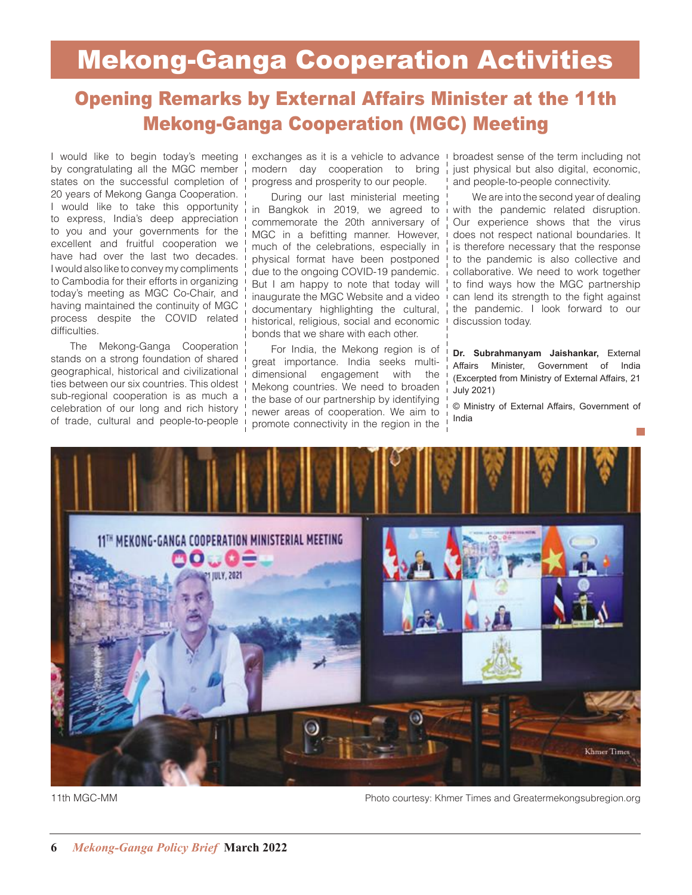## Mekong-Ganga Cooperation Activities

### Opening Remarks by External Affairs Minister at the 11th Mekong-Ganga Cooperation (MGC) Meeting

I would like to begin today's meeting by congratulating all the MGC member states on the successful completion of 20 years of Mekong Ganga Cooperation. I would like to take this opportunity to express, India's deep appreciation to you and your governments for the excellent and fruitful cooperation we have had over the last two decades. I would also like to convey my compliments to Cambodia for their efforts in organizing today's meeting as MGC Co-Chair, and having maintained the continuity of MGC process despite the COVID related difficulties.

The Mekong-Ganga Cooperation stands on a strong foundation of shared geographical, historical and civilizational ties between our six countries. This oldest sub-regional cooperation is as much a celebration of our long and rich history of trade, cultural and people-to-people exchanges as it is a vehicle to advance modern day cooperation to bring progress and prosperity to our people.

During our last ministerial meeting in Bangkok in 2019, we agreed to commemorate the 20th anniversary of MGC in a befitting manner. However, much of the celebrations, especially in physical format have been postponed due to the ongoing COVID-19 pandemic. But I am happy to note that today will inaugurate the MGC Website and a video documentary highlighting the cultural, historical, religious, social and economic bonds that we share with each other.

For India, the Mekong region is of great importance. India seeks multidimensional engagement with the Mekong countries. We need to broaden the base of our partnership by identifying newer areas of cooperation. We aim to promote connectivity in the region in the

broadest sense of the term including not just physical but also digital, economic, and people-to-people connectivity.

We are into the second year of dealing with the pandemic related disruption. Our experience shows that the virus does not respect national boundaries. It is therefore necessary that the response to the pandemic is also collective and collaborative. We need to work together to find ways how the MGC partnership can lend its strength to the fight against the pandemic. I look forward to our discussion today.

**Dr. Subrahmanyam Jaishankar,** External Affairs Minister, Government of India (Excerpted from Ministry of External Affairs, 21 July 2021)

© Ministry of External Affairs, Government of India



11th MGC-MM Photo courtesy: Khmer Times and Greatermekongsubregion.org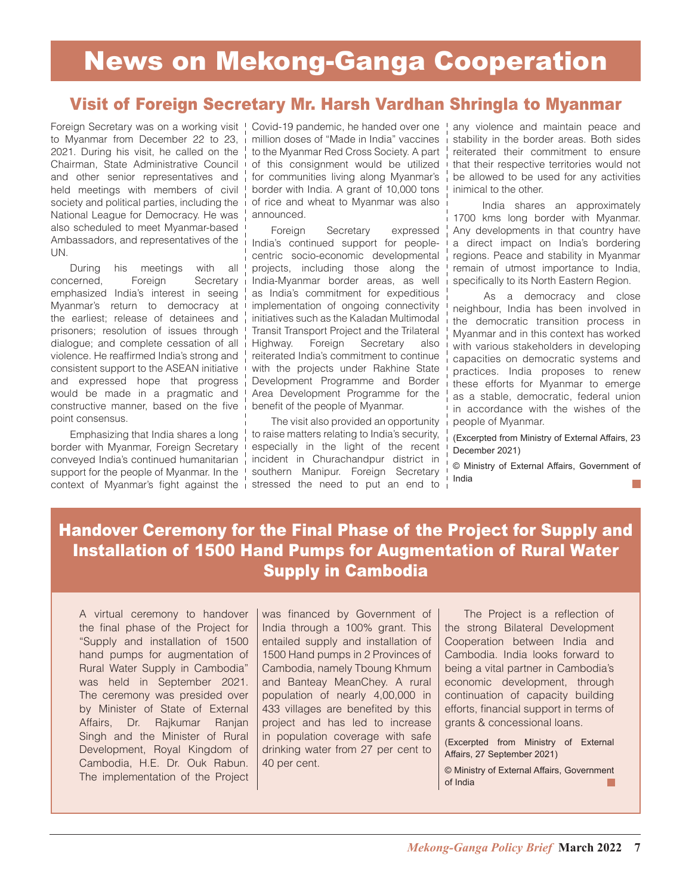### Visit of Foreign Secretary Mr. Harsh Vardhan Shringla to Myanmar

Foreign Secretary was on a working visit to Myanmar from December 22 to 23, 2021. During his visit, he called on the Chairman, State Administrative Council and other senior representatives and held meetings with members of civil society and political parties, including the National League for Democracy. He was also scheduled to meet Myanmar-based Ambassadors, and representatives of the UN.

During his meetings with all concerned, Foreign Secretary emphasized India's interest in seeing Myanmar's return to democracy at the earliest; release of detainees and prisoners; resolution of issues through dialogue; and complete cessation of all violence. He reaffirmed India's strong and consistent support to the ASEAN initiative and expressed hope that progress would be made in a pragmatic and constructive manner, based on the five point consensus.

Emphasizing that India shares a long border with Myanmar, Foreign Secretary conveyed India's continued humanitarian support for the people of Myanmar. In the context of Myanmar's fight against the i stressed the need to put an end to

Covid-19 pandemic, he handed over one million doses of "Made in India" vaccines to the Myanmar Red Cross Society. A part of this consignment would be utilized for communities living along Myanmar's border with India. A grant of 10,000 tons of rice and wheat to Myanmar was also announced.

Foreign Secretary expressed India's continued support for peoplecentric socio-economic developmental projects, including those along the India-Myanmar border areas, as well as India's commitment for expeditious implementation of ongoing connectivity initiatives such as the Kaladan Multimodal Transit Transport Project and the Trilateral Highway. Foreign Secretary also reiterated India's commitment to continue with the projects under Rakhine State Development Programme and Border Area Development Programme for the benefit of the people of Myanmar.

The visit also provided an opportunity to raise matters relating to India's security, especially in the light of the recent incident in Churachandpur district in southern Manipur. Foreign Secretary

any violence and maintain peace and stability in the border areas. Both sides reiterated their commitment to ensure that their respective territories would not be allowed to be used for any activities inimical to the other.

 India shares an approximately 1700 kms long border with Myanmar. Any developments in that country have a direct impact on India's bordering regions. Peace and stability in Myanmar remain of utmost importance to India, specifically to its North Eastern Region.

 As a democracy and close neighbour, India has been involved in the democratic transition process in Myanmar and in this context has worked with various stakeholders in developing capacities on democratic systems and practices. India proposes to renew these efforts for Myanmar to emerge as a stable, democratic, federal union in accordance with the wishes of the people of Myanmar.

(Excerpted from Ministry of External Affairs, 23 December 2021)

© Ministry of External Affairs, Government of India

### Handover Ceremony for the Final Phase of the Project for Supply and Installation of 1500 Hand Pumps for Augmentation of Rural Water Supply in Cambodia

A virtual ceremony to handover the final phase of the Project for "Supply and installation of 1500 hand pumps for augmentation of Rural Water Supply in Cambodia" was held in September 2021. The ceremony was presided over by Minister of State of External Affairs, Dr. Rajkumar Ranjan Singh and the Minister of Rural Development, Royal Kingdom of Cambodia, H.E. Dr. Ouk Rabun. The implementation of the Project

was financed by Government of India through a 100% grant. This entailed supply and installation of 1500 Hand pumps in 2 Provinces of Cambodia, namely Tboung Khmum and Banteay MeanChey. A rural population of nearly 4,00,000 in 433 villages are benefited by this project and has led to increase in population coverage with safe drinking water from 27 per cent to 40 per cent.

The Project is a reflection of the strong Bilateral Development Cooperation between India and Cambodia. India looks forward to being a vital partner in Cambodia's economic development, through continuation of capacity building efforts, financial support in terms of grants & concessional loans.

(Excerpted from Ministry of External Affairs, 27 September 2021)

© Ministry of External Affairs, Government of Indiaп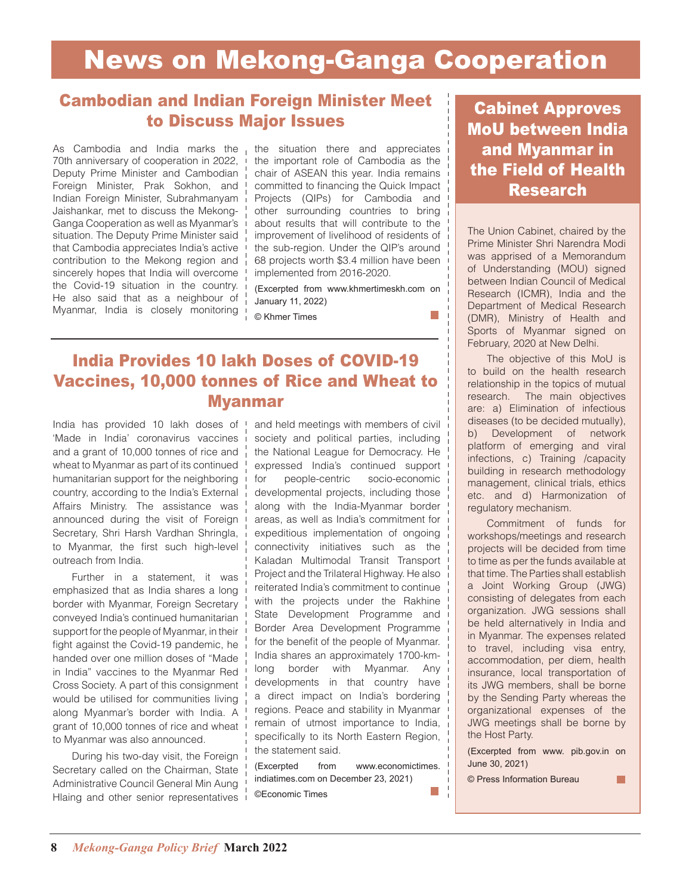### Cambodian and Indian Foreign Minister Meet to Discuss Major Issues

As Cambodia and India marks the 70th anniversary of cooperation in 2022, Deputy Prime Minister and Cambodian Foreign Minister, Prak Sokhon, and Indian Foreign Minister, Subrahmanyam Jaishankar, met to discuss the Mekong-Ganga Cooperation as well as Myanmar's situation. The Deputy Prime Minister said that Cambodia appreciates India's active contribution to the Mekong region and sincerely hopes that India will overcome the Covid-19 situation in the country. He also said that as a neighbour of Myanmar, India is closely monitoring

the situation there and appreciates the important role of Cambodia as the chair of ASEAN this year. India remains committed to financing the Quick Impact Projects (QIPs) for Cambodia and other surrounding countries to bring about results that will contribute to the improvement of livelihood of residents of the sub-region. Under the QIP's around 68 projects worth \$3.4 million have been implemented from 2016-2020.

(Excerpted from www.khmertimeskh.com on January 11, 2022)

© Khmer Times

### India Provides 10 lakh Doses of COVID-19 Vaccines, 10,000 tonnes of Rice and Wheat to Myanmar

India has provided 10 lakh doses of 'Made in India' coronavirus vaccines and a grant of 10,000 tonnes of rice and wheat to Myanmar as part of its continued humanitarian support for the neighboring country, according to the India's External Affairs Ministry. The assistance was announced during the visit of Foreign Secretary, Shri Harsh Vardhan Shringla, to Myanmar, the first such high-level outreach from India.

Further in a statement, it was emphasized that as India shares a long border with Myanmar, Foreign Secretary conveyed India's continued humanitarian support for the people of Myanmar, in their fight against the Covid-19 pandemic, he handed over one million doses of "Made in India" vaccines to the Myanmar Red Cross Society. A part of this consignment would be utilised for communities living along Myanmar's border with India. A grant of 10,000 tonnes of rice and wheat to Myanmar was also announced.

During his two-day visit, the Foreign Secretary called on the Chairman, State Administrative Council General Min Aung Hlaing and other senior representatives and held meetings with members of civil society and political parties, including the National League for Democracy. He expressed India's continued support for people-centric socio-economic developmental projects, including those along with the India-Myanmar border areas, as well as India's commitment for expeditious implementation of ongoing connectivity initiatives such as the Kaladan Multimodal Transit Transport Project and the Trilateral Highway. He also reiterated India's commitment to continue with the projects under the Rakhine State Development Programme and Border Area Development Programme for the benefit of the people of Myanmar. India shares an approximately 1700-kmlong border with Myanmar. Any developments in that country have a direct impact on India's bordering regions. Peace and stability in Myanmar remain of utmost importance to India, specifically to its North Eastern Region, the statement said.

(Excerpted from www.economictimes. indiatimes.com on December 23, 2021) m. ©Economic Times

### Cabinet Approves MoU between India and Myanmar in the Field of Health Research

The Union Cabinet, chaired by the Prime Minister Shri Narendra Modi was apprised of a Memorandum of Understanding (MOU) signed between Indian Council of Medical Research (ICMR), India and the Department of Medical Research (DMR), Ministry of Health and Sports of Myanmar signed on February, 2020 at New Delhi.

The objective of this MoU is to build on the health research relationship in the topics of mutual research. The main objectives are: a) Elimination of infectious diseases (to be decided mutually), b) Development of network platform of emerging and viral infections, c) Training /capacity building in research methodology management, clinical trials, ethics etc. and d) Harmonization of regulatory mechanism.

Commitment of funds for workshops/meetings and research projects will be decided from time to time as per the funds available at that time. The Parties shall establish a Joint Working Group (JWG) consisting of delegates from each organization. JWG sessions shall be held alternatively in India and in Myanmar. The expenses related to travel, including visa entry, accommodation, per diem, health insurance, local transportation of its JWG members, shall be borne by the Sending Party whereas the organizational expenses of the JWG meetings shall be borne by the Host Party.

(Excerpted from www. pib.gov.in on June 30, 2021)

m.

© Press Information Bureau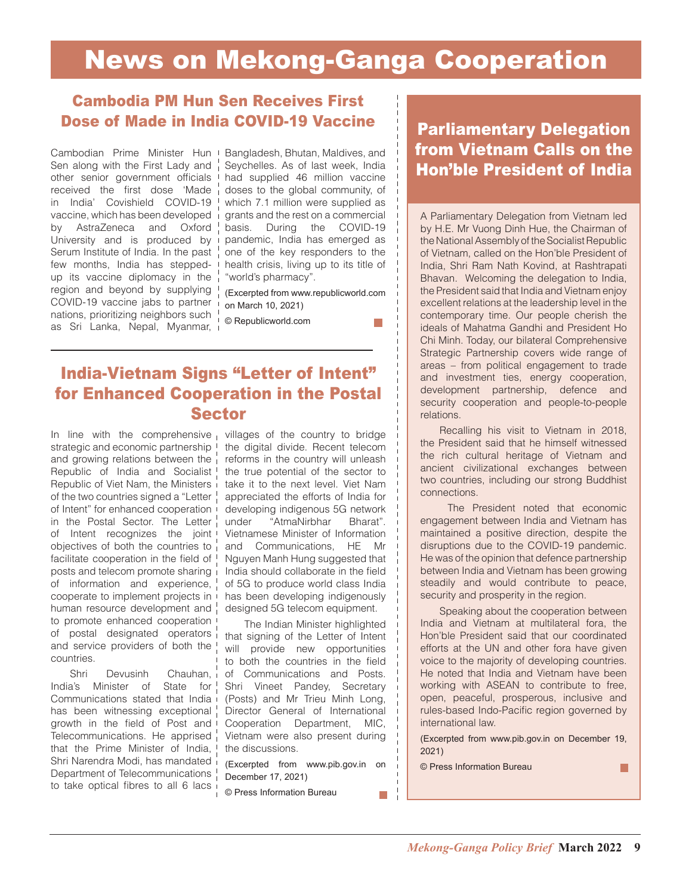### Cambodia PM Hun Sen Receives First Dose of Made in India COVID-19 Vaccine

Cambodian Prime Minister Hun Bangladesh, Bhutan, Maldives, and Sen along with the First Lady and other senior government officials received the first dose 'Made in India' Covishield COVID-19 vaccine, which has been developed by AstraZeneca and Oxford University and is produced by Serum Institute of India. In the past few months, India has steppedup its vaccine diplomacy in the region and beyond by supplying COVID-19 vaccine jabs to partner nations, prioritizing neighbors such as Sri Lanka, Nepal, Myanmar,

Seychelles. As of last week, India had supplied 46 million vaccine doses to the global community, of which 7.1 million were supplied as grants and the rest on a commercial basis. During the COVID-19 pandemic, India has emerged as one of the key responders to the health crisis, living up to its title of "world's pharmacy".

(Excerpted from www.republicworld.com on March 10, 2021)

© Republicworld.com

### India-Vietnam Signs "Letter of Intent" for Enhanced Cooperation in the Postal Sector

In line with the comprehensive  $\frac{1}{1}$  villages of the country to bridge strategic and economic partnership I the digital divide. Recent telecom and growing relations between the Republic of India and Socialist! Republic of Viet Nam, the Ministers i of the two countries signed a "Letter of Intent" for enhanced cooperation in the Postal Sector. The Letter of Intent recognizes the joint I objectives of both the countries to  $\frac{1}{1}$ facilitate cooperation in the field of ! posts and telecom promote sharing of information and experience, cooperate to implement projects in human resource development and to promote enhanced cooperation of postal designated operators and service providers of both the ! countries.

Shri Devusinh Chauhan, India's Minister of State for! Communications stated that India i has been witnessing exceptional growth in the field of Post and Telecommunications. He apprised that the Prime Minister of India, Shri Narendra Modi, has mandated Department of Telecommunications ! to take optical fibres to all 6 lacs i

reforms in the country will unleash the true potential of the sector to take it to the next level. Viet Nam appreciated the efforts of India for developing indigenous 5G network under "AtmaNirbhar Bharat". Vietnamese Minister of Information and Communications, HE Mr Nguyen Manh Hung suggested that India should collaborate in the field of 5G to produce world class India has been developing indigenously designed 5G telecom equipment.

The Indian Minister highlighted that signing of the Letter of Intent will provide new opportunities to both the countries in the field of Communications and Posts. Shri Vineet Pandey, Secretary (Posts) and Mr Trieu Minh Long, Director General of International Cooperation Department, MIC, Vietnam were also present during the discussions.

(Excerpted from www.pib.gov.in on December 17, 2021)

© Press Information Bureau

### Parliamentary Delegation from Vietnam Calls on the Hon'ble President of India

A Parliamentary Delegation from Vietnam led by H.E. Mr Vuong Dinh Hue, the Chairman of the National Assembly of the Socialist Republic of Vietnam, called on the Hon'ble President of India, Shri Ram Nath Kovind, at Rashtrapati Bhavan. Welcoming the delegation to India, the President said that India and Vietnam enjoy excellent relations at the leadership level in the contemporary time. Our people cherish the ideals of Mahatma Gandhi and President Ho Chi Minh. Today, our bilateral Comprehensive Strategic Partnership covers wide range of areas – from political engagement to trade and investment ties, energy cooperation, development partnership, defence and security cooperation and people-to-people relations.

Recalling his visit to Vietnam in 2018, the President said that he himself witnessed the rich cultural heritage of Vietnam and ancient civilizational exchanges between two countries, including our strong Buddhist connections.

 The President noted that economic engagement between India and Vietnam has maintained a positive direction, despite the disruptions due to the COVID-19 pandemic. He was of the opinion that defence partnership between India and Vietnam has been growing steadily and would contribute to peace, security and prosperity in the region.

Speaking about the cooperation between India and Vietnam at multilateral fora, the Hon'ble President said that our coordinated efforts at the UN and other fora have given voice to the majority of developing countries. He noted that India and Vietnam have been working with ASEAN to contribute to free, open, peaceful, prosperous, inclusive and rules-based Indo-Pacific region governed by international law.

(Excerpted from www.pib.gov.in on December 19, 2021)

П

© Press Information Bureau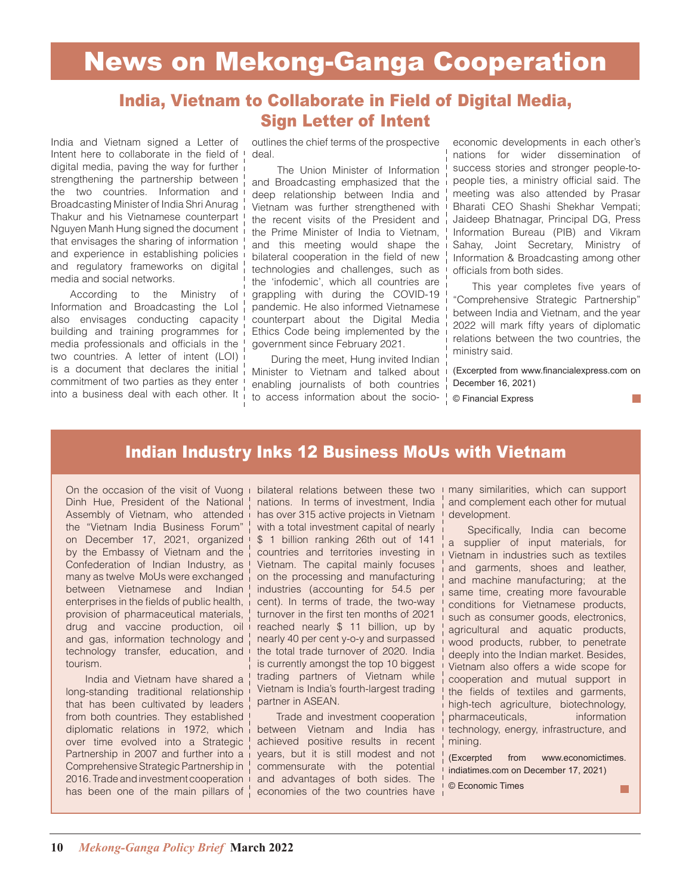### India, Vietnam to Collaborate in Field of Digital Media, Sign Letter of Intent

India and Vietnam signed a Letter of Intent here to collaborate in the field of digital media, paving the way for further strengthening the partnership between the two countries. Information and Broadcasting Minister of India Shri Anurag Thakur and his Vietnamese counterpart Nguyen Manh Hung signed the document that envisages the sharing of information and experience in establishing policies and regulatory frameworks on digital media and social networks.

According to the Ministry of Information and Broadcasting the LoI also envisages conducting capacity building and training programmes for media professionals and officials in the two countries. A letter of intent (LOI) is a document that declares the initial commitment of two parties as they enter into a business deal with each other. It

outlines the chief terms of the prospective deal.

 The Union Minister of Information and Broadcasting emphasized that the deep relationship between India and Vietnam was further strengthened with the recent visits of the President and the Prime Minister of India to Vietnam, and this meeting would shape the bilateral cooperation in the field of new technologies and challenges, such as the 'infodemic', which all countries are grappling with during the COVID-19 pandemic. He also informed Vietnamese counterpart about the Digital Media Ethics Code being implemented by the government since February 2021.

During the meet, Hung invited Indian Minister to Vietnam and talked about enabling journalists of both countries to access information about the socio-

economic developments in each other's nations for wider dissemination of success stories and stronger people-topeople ties, a ministry official said. The meeting was also attended by Prasar Bharati CEO Shashi Shekhar Vempati; Jaideep Bhatnagar, Principal DG, Press Information Bureau (PIB) and Vikram Sahay, Joint Secretary, Ministry of Information & Broadcasting among other officials from both sides.

This year completes five years of "Comprehensive Strategic Partnership" between India and Vietnam, and the year 2022 will mark fifty years of diplomatic relations between the two countries, the ministry said.

(Excerpted from www.financialexpress.com on December 16, 2021)

© Financial Express

### Indian Industry Inks 12 Business MoUs with Vietnam

On the occasion of the visit of Vuong Dinh Hue, President of the National Assembly of Vietnam, who attended i the "Vietnam India Business Forum" on December 17, 2021, organized by the Embassy of Vietnam and the Confederation of Indian Industry, as many as twelve MoUs were exchanged between Vietnamese and Indian enterprises in the fields of public health, provision of pharmaceutical materials, drug and vaccine production, oil and gas, information technology and technology transfer, education, and tourism.

India and Vietnam have shared a long-standing traditional relationship that has been cultivated by leaders from both countries. They established diplomatic relations in 1972, which over time evolved into a Strategic Partnership in 2007 and further into a Comprehensive Strategic Partnership in 2016. Trade and investment cooperation has been one of the main pillars of  $\frac{1}{1}$  economies of the two countries have

bilateral relations between these two nations. In terms of investment, India has over 315 active projects in Vietnam with a total investment capital of nearly \$ 1 billion ranking 26th out of 141 countries and territories investing in Vietnam. The capital mainly focuses on the processing and manufacturing industries (accounting for 54.5 per cent). In terms of trade, the two-way turnover in the first ten months of 2021 reached nearly \$ 11 billion, up by nearly 40 per cent y-o-y and surpassed the total trade turnover of 2020. India is currently amongst the top 10 biggest trading partners of Vietnam while Vietnam is India's fourth-largest trading partner in ASEAN.

Trade and investment cooperation between Vietnam and India has achieved positive results in recent years, but it is still modest and not commensurate with the potential and advantages of both sides. The

many similarities, which can support  $\overline{1}$ and complement each other for mutual development.

Specifically, India can become a supplier of input materials, for Vietnam in industries such as textiles and garments, shoes and leather, and machine manufacturing; at the same time, creating more favourable conditions for Vietnamese products, such as consumer goods, electronics, agricultural and aquatic products, wood products, rubber, to penetrate deeply into the Indian market. Besides, Vietnam also offers a wide scope for cooperation and mutual support in the fields of textiles and garments, high-tech agriculture, biotechnology, pharmaceuticals, information technology, energy, infrastructure, and mining.

(Excerpted from www.economictimes. indiatimes.com on December 17, 2021)

© Economic Times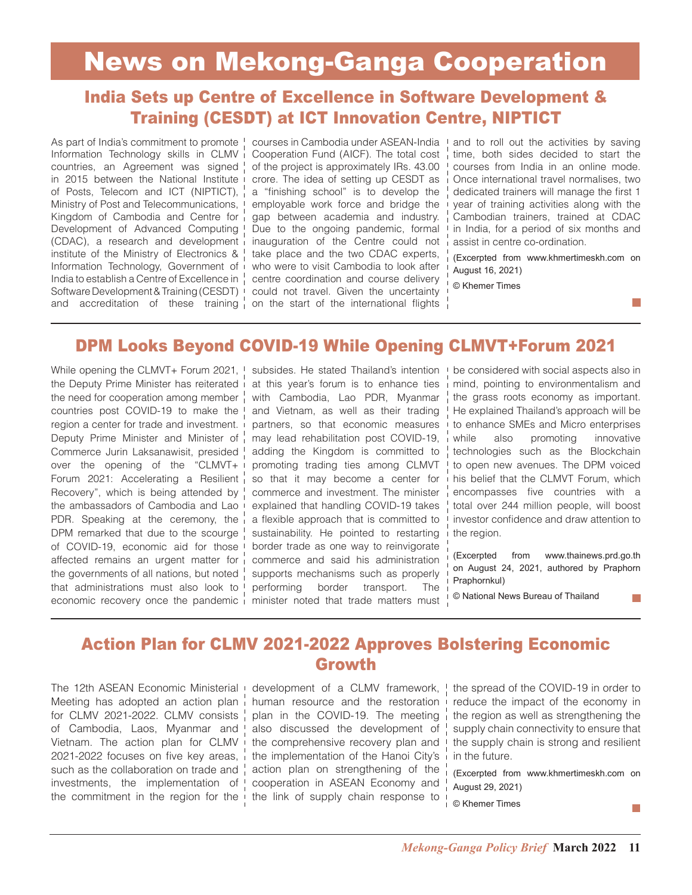### India Sets up Centre of Excellence in Software Development & Training (CESDT) at ICT Innovation Centre, NIPTICT

As part of India's commitment to promote ! Information Technology skills in CLMV countries, an Agreement was signed in 2015 between the National Institute of Posts, Telecom and ICT (NIPTICT), Ministry of Post and Telecommunications, Kingdom of Cambodia and Centre for Development of Advanced Computing (CDAC), a research and development institute of the Ministry of Electronics & Information Technology, Government of India to establish a Centre of Excellence in  $\frac{1}{1}$ Software Development & Training (CESDT) could not travel. Given the uncertainty and accreditation of these training on the start of the international flights

courses in Cambodia under ASEAN-India Cooperation Fund (AICF). The total cost of the project is approximately IRs. 43.00 crore. The idea of setting up CESDT as a "finishing school" is to develop the employable work force and bridge the gap between academia and industry. Due to the ongoing pandemic, formal inauguration of the Centre could not take place and the two CDAC experts, who were to visit Cambodia to look after centre coordination and course delivery

and to roll out the activities by saving time, both sides decided to start the courses from India in an online mode. Once international travel normalises, two dedicated trainers will manage the first 1 year of training activities along with the Cambodian trainers, trained at CDAC in India, for a period of six months and assist in centre co-ordination.

(Excerpted from www.khmertimeskh.com on August 16, 2021)

© Khemer Times

### DPM Looks Beyond COVID-19 While Opening CLMVT+Forum 2021

While opening the CLMVT+ Forum 2021, the Deputy Prime Minister has reiterated the need for cooperation among member countries post COVID-19 to make the region a center for trade and investment. Deputy Prime Minister and Minister of Commerce Jurin Laksanawisit, presided over the opening of the "CLMVT+ Forum 2021: Accelerating a Resilient Recovery", which is being attended by the ambassadors of Cambodia and Lao PDR. Speaking at the ceremony, the DPM remarked that due to the scourge of COVID-19, economic aid for those affected remains an urgent matter for the governments of all nations, but noted that administrations must also look to economic recovery once the pandemic

subsides. He stated Thailand's intention at this year's forum is to enhance ties with Cambodia, Lao PDR, Myanmar and Vietnam, as well as their trading partners, so that economic measures may lead rehabilitation post COVID-19, adding the Kingdom is committed to promoting trading ties among CLMVT so that it may become a center for commerce and investment. The minister explained that handling COVID-19 takes a flexible approach that is committed to sustainability. He pointed to restarting border trade as one way to reinvigorate commerce and said his administration supports mechanisms such as properly performing border transport. The minister noted that trade matters must be considered with social aspects also in mind, pointing to environmentalism and the grass roots economy as important. He explained Thailand's approach will be to enhance SMEs and Micro enterprises while also promoting innovative technologies such as the Blockchain to open new avenues. The DPM voiced his belief that the CLMVT Forum, which encompasses five countries with a total over 244 million people, will boost investor confidence and draw attention to the region.

(Excerpted from www.thainews.prd.go.th on August 24, 2021, authored by Praphorn Praphornkul)

© National News Bureau of Thailand

### Action Plan for CLMV 2021-2022 Approves Bolstering Economic Growth

The 12th ASEAN Economic Ministerial Meeting has adopted an action plan for CLMV 2021-2022. CLMV consists of Cambodia, Laos, Myanmar and Vietnam. The action plan for CLMV 2021-2022 focuses on five key areas, such as the collaboration on trade and investments, the implementation of the commitment in the region for the

development of a CLMV framework, human resource and the restoration plan in the COVID-19. The meeting also discussed the development of the comprehensive recovery plan and the implementation of the Hanoi City's action plan on strengthening of the cooperation in ASEAN Economy and the link of supply chain response to

the spread of the COVID-19 in order to reduce the impact of the economy in the region as well as strengthening the supply chain connectivity to ensure that the supply chain is strong and resilient in the future.

(Excerpted from www.khmertimeskh.com on August 29, 2021)

m,

© Khemer Times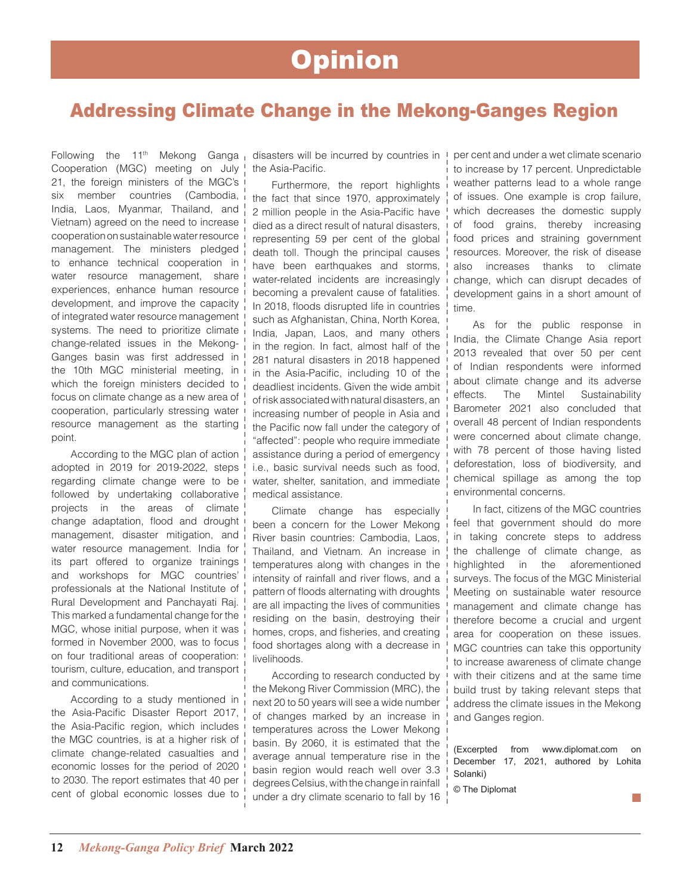## **Opinion**

### Addressing Climate Change in the Mekong-Ganges Region

Following the  $11<sup>th</sup>$  Mekong Ganga Cooperation (MGC) meeting on July 21, the foreign ministers of the MGC's six member countries (Cambodia, India, Laos, Myanmar, Thailand, and Vietnam) agreed on the need to increase cooperation on sustainable water resource management. The ministers pledged to enhance technical cooperation in water resource management, share experiences, enhance human resource development, and improve the capacity of integrated water resource management systems. The need to prioritize climate change-related issues in the Mekong-Ganges basin was first addressed in the 10th MGC ministerial meeting, in which the foreign ministers decided to focus on climate change as a new area of cooperation, particularly stressing water resource management as the starting point.

According to the MGC plan of action adopted in 2019 for 2019-2022, steps regarding climate change were to be followed by undertaking collaborative projects in the areas of climate change adaptation, flood and drought management, disaster mitigation, and water resource management. India for its part offered to organize trainings and workshops for MGC countries' professionals at the National Institute of Rural Development and Panchayati Raj. This marked a fundamental change for the MGC, whose initial purpose, when it was formed in November 2000, was to focus on four traditional areas of cooperation: tourism, culture, education, and transport and communications.

According to a study mentioned in the Asia-Pacific Disaster Report 2017, the Asia-Pacific region, which includes the MGC countries, is at a higher risk of climate change-related casualties and economic losses for the period of 2020 to 2030. The report estimates that 40 per cent of global economic losses due to disasters will be incurred by countries in the Asia-Pacific.

Furthermore, the report highlights the fact that since 1970, approximately 2 million people in the Asia-Pacific have died as a direct result of natural disasters, representing 59 per cent of the global death toll. Though the principal causes have been earthquakes and storms, water-related incidents are increasingly becoming a prevalent cause of fatalities. In 2018, floods disrupted life in countries such as Afghanistan, China, North Korea, India, Japan, Laos, and many others in the region. In fact, almost half of the 281 natural disasters in 2018 happened in the Asia-Pacific, including 10 of the deadliest incidents. Given the wide ambit of risk associated with natural disasters, an increasing number of people in Asia and the Pacific now fall under the category of "affected": people who require immediate assistance during a period of emergency i.e., basic survival needs such as food, water, shelter, sanitation, and immediate medical assistance.

Climate change has especially been a concern for the Lower Mekong River basin countries: Cambodia, Laos, Thailand, and Vietnam. An increase in temperatures along with changes in the intensity of rainfall and river flows, and a pattern of floods alternating with droughts are all impacting the lives of communities residing on the basin, destroying their homes, crops, and fisheries, and creating food shortages along with a decrease in livelihoods.

According to research conducted by the Mekong River Commission (MRC), the next 20 to 50 years will see a wide number of changes marked by an increase in temperatures across the Lower Mekong basin. By 2060, it is estimated that the average annual temperature rise in the basin region would reach well over 3.3 degrees Celsius, with the change in rainfall under a dry climate scenario to fall by 16

per cent and under a wet climate scenario to increase by 17 percent. Unpredictable weather patterns lead to a whole range of issues. One example is crop failure, which decreases the domestic supply of food grains, thereby increasing food prices and straining government resources. Moreover, the risk of disease also increases thanks to climate change, which can disrupt decades of development gains in a short amount of time.

As for the public response in India, the Climate Change Asia report 2013 revealed that over 50 per cent of Indian respondents were informed about climate change and its adverse effects. The Mintel Sustainability Barometer 2021 also concluded that overall 48 percent of Indian respondents were concerned about climate change, with 78 percent of those having listed deforestation, loss of biodiversity, and chemical spillage as among the top environmental concerns.

In fact, citizens of the MGC countries feel that government should do more in taking concrete steps to address the challenge of climate change, as highlighted in the aforementioned surveys. The focus of the MGC Ministerial Meeting on sustainable water resource management and climate change has therefore become a crucial and urgent area for cooperation on these issues. MGC countries can take this opportunity to increase awareness of climate change with their citizens and at the same time build trust by taking relevant steps that address the climate issues in the Mekong and Ganges region.

(Excerpted from www.diplomat.com on December 17, 2021, authored by Lohita Solanki)

© The Diplomat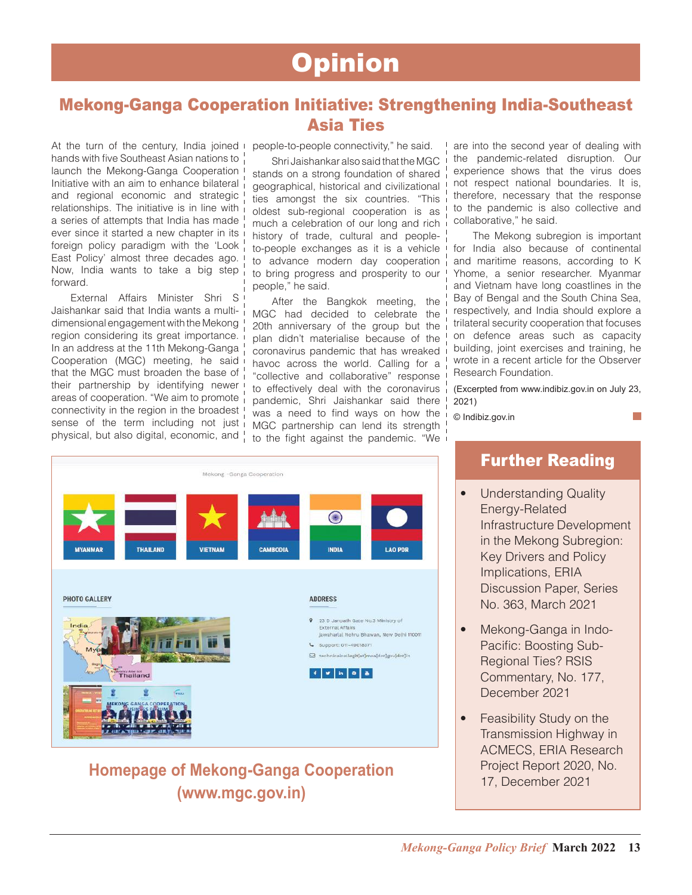## **Opinion**

### Mekong-Ganga Cooperation Initiative: Strengthening India-Southeast Asia Ties

At the turn of the century, India joined hands with five Southeast Asian nations to launch the Mekong-Ganga Cooperation Initiative with an aim to enhance bilateral and regional economic and strategic relationships. The initiative is in line with a series of attempts that India has made ever since it started a new chapter in its foreign policy paradigm with the 'Look East Policy' almost three decades ago. Now, India wants to take a big step forward.

External Affairs Minister Shri S Jaishankar said that India wants a multidimensional engagement with the Mekong region considering its great importance. In an address at the 11th Mekong-Ganga Cooperation (MGC) meeting, he said that the MGC must broaden the base of their partnership by identifying newer areas of cooperation. "We aim to promote connectivity in the region in the broadest sense of the term including not just physical, but also digital, economic, and

people-to-people connectivity," he said.

Shri Jaishankar also said that the MGC stands on a strong foundation of shared geographical, historical and civilizational ties amongst the six countries. "This oldest sub-regional cooperation is as much a celebration of our long and rich history of trade, cultural and peopleto-people exchanges as it is a vehicle to advance modern day cooperation to bring progress and prosperity to our people," he said.

After the Bangkok meeting, the MGC had decided to celebrate the 20th anniversary of the group but the plan didn't materialise because of the coronavirus pandemic that has wreaked havoc across the world. Calling for a "collective and collaborative" response to effectively deal with the coronavirus pandemic, Shri Jaishankar said there was a need to find ways on how the MGC partnership can lend its strength to the fight against the pandemic. "We

are into the second year of dealing with the pandemic-related disruption. Our experience shows that the virus does not respect national boundaries. It is, therefore, necessary that the response to the pandemic is also collective and collaborative," he said.

The Mekong subregion is important for India also because of continental and maritime reasons, according to K Yhome, a senior researcher. Myanmar and Vietnam have long coastlines in the Bay of Bengal and the South China Sea, respectively, and India should explore a trilateral security cooperation that focuses on defence areas such as capacity building, joint exercises and training, he wrote in a recent article for the Observer Research Foundation.

(Excerpted from www.indibiz.gov.in on July 23, 2021)

© Indibiz.gov.in



### **Homepage of Mekong-Ganga Cooperation (www.mgc.gov.in)**

### Further Reading

- Understanding Quality Energy-Related Infrastructure Development in the Mekong Subregion: Key Drivers and Policy Implications, ERIA Discussion Paper, Series No. 363, March 2021
- Mekong-Ganga in Indo-Pacific: Boosting Sub-Regional Ties? RSIS Commentary, No. 177, December 2021
- Feasibility Study on the Transmission Highway in ACMECS, ERIA Research Project Report 2020, No. 17, December 2021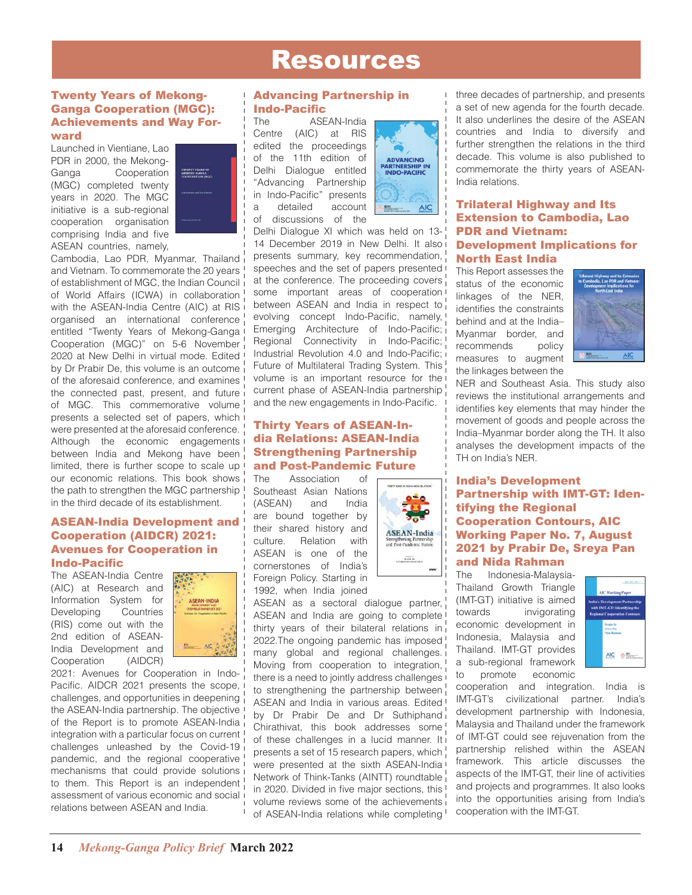### Resources

#### Twenty Years of Mekong-Ganga Cooperation (MGC): Achievements and Way Forward

Launched in Vientiane, Lao PDR in 2000, the Mekong-Ganga Cooperation (MGC) completed twenty years in 2020. The MGC initiative is a sub-regional cooperation organisation comprising India and five ASEAN countries, namely,



Cambodia, Lao PDR, Myanmar, Thailand and Vietnam. To commemorate the 20 years of establishment of MGC, the Indian Council of World Affairs (ICWA) in collaboration with the ASEAN-India Centre (AIC) at RIS organised an international conference entitled "Twenty Years of Mekong-Ganga Cooperation (MGC)" on 5-6 November 2020 at New Delhi in virtual mode. Edited by Dr Prabir De, this volume is an outcome of the aforesaid conference, and examines the connected past, present, and future of MGC. This commemorative volume presents a selected set of papers, which were presented at the aforesaid conference. Although the economic engagements between India and Mekong have been limited, there is further scope to scale up our economic relations. This book shows the path to strengthen the MGC partnership in the third decade of its establishment.

#### ASEAN-India Development and Cooperation (AIDCR) 2021: Avenues for Cooperation in Indo-Pacific

The ASEAN-India Centre (AIC) at Research and Information System for Developing Countries (RIS) come out with the 2nd edition of ASEAN-India Development and Cooperation (AIDCR)



2021: Avenues for Cooperation in Indo-Pacific. AIDCR 2021 presents the scope, challenges, and opportunities in deepening the ASEAN-India partnership. The objective of the Report is to promote ASEAN-India integration with a particular focus on current challenges unleashed by the Covid-19 pandemic, and the regional cooperative mechanisms that could provide solutions to them. This Report is an independent assessment of various economic and social relations between ASEAN and India.

### Advancing Partnership in **Indo-Pacific**

The ASEAN-India<br>Centre (AIC) at RIS (AIC) at RIS edited the proceedings of the 11th edition of Delhi Dialogue entitled "Advancing Partnership in Indo-Pacific" presents a detailed account of discussions of the



Delhi Dialogue XI which was held on 13- 14 December 2019 in New Delhi. It also presents summary, key recommendation, speeches and the set of papers presented at the conference. The proceeding covers some important areas of cooperation between ASEAN and India in respect to evolving concept Indo-Pacific, namely, Emerging Architecture of Indo-Pacific;<br>Regional Connectivity in Indo-Pacific; in Indo-Pacific; Industrial Revolution 4.0 and Indo-Pacific; Future of Multilateral Trading System. This volume is an important resource for the current phase of ASEAN-India partnership and the new engagements in Indo-Pacific.

### Thirty Years of ASEAN-India Relations: ASEAN-India Strengthening Partnership **and Post-Pandemic Future**<br>The Association of **Community**

Association of Southeast Asian Nations (ASEAN) and India are bound together by their shared history and culture. Relation with ASEAN is one of the cornerstones of India's Foreign Policy. Starting in 1992, when India joined



ASEAN as a sectoral dialogue partner, ASEAN and India are going to complete thirty years of their bilateral relations in 2022.The ongoing pandemic has imposed many global and regional challenges. Moving from cooperation to integration, there is a need to jointly address challenges to strengthening the partnership between ASEAN and India in various areas. Edited by Dr Prabir De and Dr Suthiphand Chirathivat, this book addresses some of these challenges in a lucid manner. It presents a set of 15 research papers, which were presented at the sixth ASEAN-India Network of Think-Tanks (AINTT) roundtable in 2020. Divided in five major sections, this volume reviews some of the achievements of ASEAN-India relations while completing

North East India This Report assesses the status of the economic linkages of the NFR. identifies the constraints behind and at the India– Myanmar border, and recommends policy measures to augment the linkages between the

India relations.



NER and Southeast Asia. This study also reviews the institutional arrangements and identifies key elements that may hinder the movement of goods and people across the India–Myanmar border along the TH. It also analyses the development impacts of the TH on India's NER.

three decades of partnership, and presents a set of new agenda for the fourth decade. It also underlines the desire of the ASEAN countries and India to diversify and further strengthen the relations in the third decade. This volume is also published to commemorate the thirty years of ASEAN-

Trilateral Highway and Its Extension to Cambodia, Lao

Development Implications for

PDR and Vietnam:

#### India's Development Partnership with IMT-GT: Identifying the Regional Cooperation Contours, AIC Working Paper No. 7, August 2021 by Prabir De, Sreya Pan and Nida Rahman

The Indonesia-Malaysia-Thailand Growth Triangle (IMT-GT) initiative is aimed towards invigorating economic development in Indonesia, Malaysia and Thailand. IMT-GT provides a sub-regional framework to promote economic



cooperation and integration. India is IMT-GT's civilizational partner. India's development partnership with Indonesia, Malaysia and Thailand under the framework of IMT-GT could see rejuvenation from the partnership relished within the ASEAN framework. This article discusses the aspects of the IMT-GT, their line of activities and projects and programmes. It also looks into the opportunities arising from India's cooperation with the IMT-GT.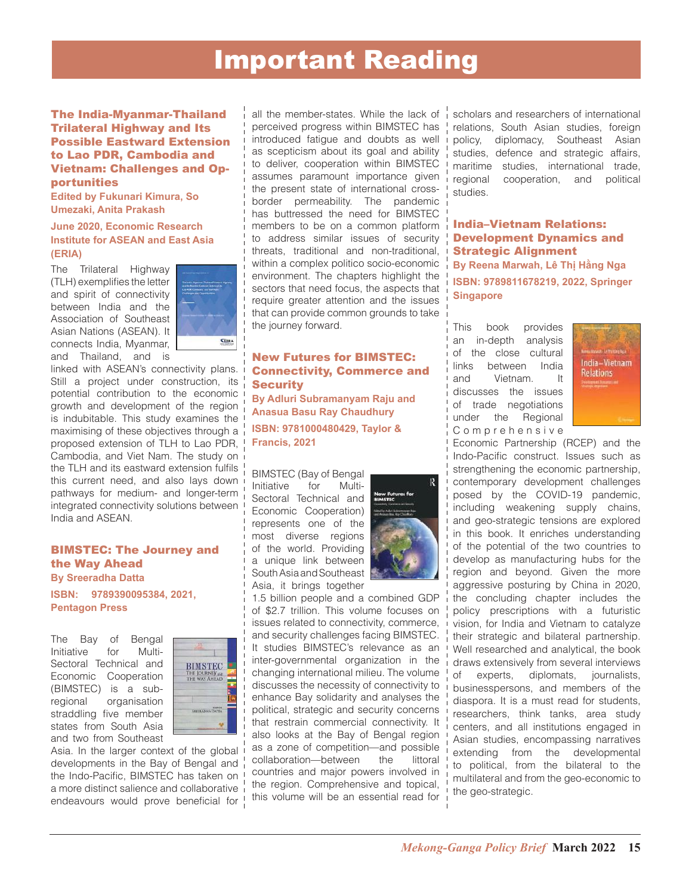## Important Reading

The India-Myanmar-Thailand Trilateral Highway and Its Possible Eastward Extension to Lao PDR, Cambodia and Vietnam: Challenges and Opportunities

**Edited by Fukunari Kimura, So Umezaki, Anita Prakash**

#### **June 2020, Economic Research Institute for ASEAN and East Asia (ERIA)**

The Trilateral Highway (TLH) exemplifies the letter and spirit of connectivity between India and the Association of Southeast Asian Nations (ASEAN). It connects India, Myanmar, and Thailand, and is



linked with ASEAN's connectivity plans. Still a project under construction, its potential contribution to the economic growth and development of the region is indubitable. This study examines the maximising of these objectives through a proposed extension of TLH to Lao PDR, Cambodia, and Viet Nam. The study on the TLH and its eastward extension fulfils this current need, and also lays down pathways for medium- and longer-term integrated connectivity solutions between India and ASEAN.

#### BIMSTEC: The Journey and the Way Ahead

**By Sreeradha Datta ISBN: 9789390095384, 2021, Pentagon Press**

The Bay of Bengal<br>Initiative for Multi-Initiative for Sectoral Technical and Economic Cooperation (BIMSTEC) is a subregional organisation straddling five member states from South Asia and two from Southeast



Asia. In the larger context of the global developments in the Bay of Bengal and the Indo-Pacific, BIMSTEC has taken on a more distinct salience and collaborative endeavours would prove beneficial for !

all the member-states. While the lack of perceived progress within BIMSTEC has introduced fatigue and doubts as well as scepticism about its goal and ability to deliver, cooperation within BIMSTEC assumes paramount importance given the present state of international crossborder permeability. The pandemic has buttressed the need for BIMSTEC members to be on a common platform to address similar issues of security threats, traditional and non-traditional, within a complex politico socio-economic environment. The chapters highlight the sectors that need focus, the aspects that require greater attention and the issues that can provide common grounds to take the journey forward.

#### New Futures for BIMSTEC: Connectivity, Commerce and **Security**

**By Adluri Subramanyam Raju and Anasua Basu Ray Chaudhury ISBN: 9781000480429, Taylor & Francis, 2021**

BIMSTEC (Bay of Bengal Initiative for Multi-Sectoral Technical and Economic Cooperation) represents one of the most diverse regions of the world. Providing a unique link between South Asia and Southeast Asia, it brings together



1.5 billion people and a combined GDP of \$2.7 trillion. This volume focuses on issues related to connectivity, commerce, and security challenges facing BIMSTEC. It studies BIMSTEC's relevance as an inter-governmental organization in the changing international milieu. The volume discusses the necessity of connectivity to enhance Bay solidarity and analyses the political, strategic and security concerns that restrain commercial connectivity. It also looks at the Bay of Bengal region as a zone of competition—and possible collaboration—between the littoral countries and major powers involved in the region. Comprehensive and topical, this volume will be an essential read for

scholars and researchers of international relations, South Asian studies, foreign policy, diplomacy, Southeast Asian studies, defence and strategic affairs, maritime studies, international trade, regional cooperation, and political studies.

India–Vietnam Relations: Development Dynamics and Strategic Alignment **By Reena Marwah, Lê Thị Hằng Nga ISBN: 9789811678219, 2022, Springer Singapore**

This book provides an in-depth analysis of the close cultural links between India and Vietnam. It discusses the issues of trade negotiations under the Regional C o m p r e h e n s i v e



Economic Partnership (RCEP) and the Indo-Pacific construct. Issues such as strengthening the economic partnership, contemporary development challenges posed by the COVID-19 pandemic, including weakening supply chains, and geo-strategic tensions are explored in this book. It enriches understanding of the potential of the two countries to develop as manufacturing hubs for the region and beyond. Given the more aggressive posturing by China in 2020, the concluding chapter includes the policy prescriptions with a futuristic vision, for India and Vietnam to catalyze their strategic and bilateral partnership. Well researched and analytical, the book draws extensively from several interviews of experts, diplomats, journalists, businesspersons, and members of the diaspora. It is a must read for students, researchers, think tanks, area study centers, and all institutions engaged in Asian studies, encompassing narratives extending from the developmental to political, from the bilateral to the multilateral and from the geo-economic to the geo-strategic.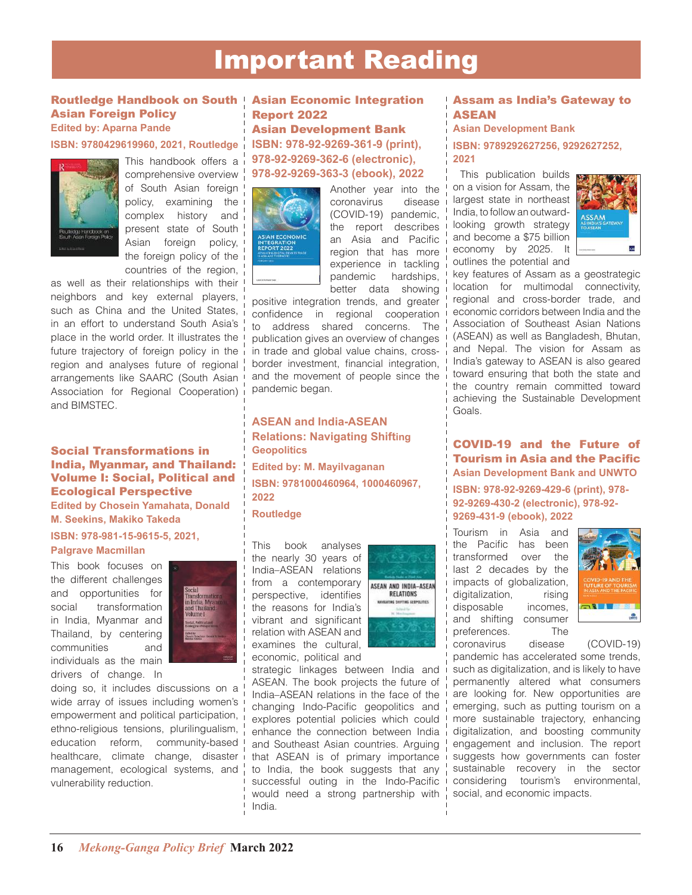## Important Reading

#### Routledge Handbook on South Asian Foreign Policy **Edited by: Aparna Pande**

### **ISBN: 9780429619960, 2021, Routledge**



This handbook offers a comprehensive overview of South Asian foreign policy, examining the complex history and present state of South Asian foreign policy, the foreign policy of the countries of the region,

as well as their relationships with their neighbors and key external players, such as China and the United States, in an effort to understand South Asia's place in the world order. It illustrates the future trajectory of foreign policy in the region and analyses future of regional arrangements like SAARC (South Asian Association for Regional Cooperation) and BIMSTEC.

#### Social Transformations in India, Myanmar, and Thailand: Volume I: Social, Political and Ecological Perspective

**Edited by Chosein Yamahata, Donald M. Seekins, Makiko Takeda**

**ISBN: 978-981-15-9615-5, 2021,** 

#### **Palgrave Macmillan**

This book focuses on the different challenges and opportunities for social transformation in India, Myanmar and Thailand, by centering communities and individuals as the main drivers of change. In



doing so, it includes discussions on a wide array of issues including women's empowerment and political participation, ethno-religious tensions, plurilingualism, education reform, community-based healthcare, climate change, disaster management, ecological systems, and vulnerability reduction.

### Asian Economic Integration Report 2022

Asian Development Bank **ISBN: 978-92-9269-361-9 (print), 978-92-9269-362-6 (electronic), 978-92-9269-363-3 (ebook), 2022**



Another year into the coronavirus disease (COVID-19) pandemic, the report describes an Asia and Pacific region that has more experience in tackling pandemic hardships, better data showing

positive integration trends, and greater confidence in regional cooperation to address shared concerns. The publication gives an overview of changes in trade and global value chains, crossborder investment, financial integration, and the movement of people since the pandemic began.

**ASEAN and India-ASEAN Relations: Navigating Shifting Geopolitics Edited by: M. Mayilvaganan ISBN: 9781000460964, 1000460967, 2022**

**Routledge**

This book analyses the nearly 30 years of India–ASEAN relations from a contemporary perspective, identifies the reasons for India's vibrant and significant relation with ASEAN and examines the cultural, economic, political and



strategic linkages between India and ASEAN. The book projects the future of India–ASEAN relations in the face of the changing Indo-Pacific geopolitics and explores potential policies which could enhance the connection between India and Southeast Asian countries. Arguing that ASEAN is of primary importance to India, the book suggests that any successful outing in the Indo-Pacific would need a strong partnership with India.

#### Assam as India's Gateway to ASEAN

**Asian Development Bank**

**ISBN: 9789292627256, 9292627252, 2021**

 This publication builds on a vision for Assam, the largest state in northeast India, to follow an outwardlooking growth strategy and become a \$75 billion economy by 2025. It outlines the potential and



key features of Assam as a geostrategic location for multimodal connectivity, regional and cross-border trade, and economic corridors between India and the Association of Southeast Asian Nations (ASEAN) as well as Bangladesh, Bhutan, and Nepal. The vision for Assam as India's gateway to ASEAN is also geared toward ensuring that both the state and the country remain committed toward achieving the Sustainable Development Goals.

#### COVID-19 and the Future of Tourism in Asia and the Pacific **Asian Development Bank and UNWTO**

**ISBN: 978-92-9269-429-6 (print), 978- 92-9269-430-2 (electronic), 978-92- 9269-431-9 (ebook), 2022**

Tourism in Asia and the Pacific has been transformed over the last 2 decades by the impacts of globalization, digitalization, rising disposable incomes, and shifting consumer preferences. The



coronavirus disease (COVID-19) pandemic has accelerated some trends, such as digitalization, and is likely to have permanently altered what consumers are looking for. New opportunities are emerging, such as putting tourism on a more sustainable trajectory, enhancing digitalization, and boosting community engagement and inclusion. The report suggests how governments can foster sustainable recovery in the sector considering tourism's environmental, social, and economic impacts.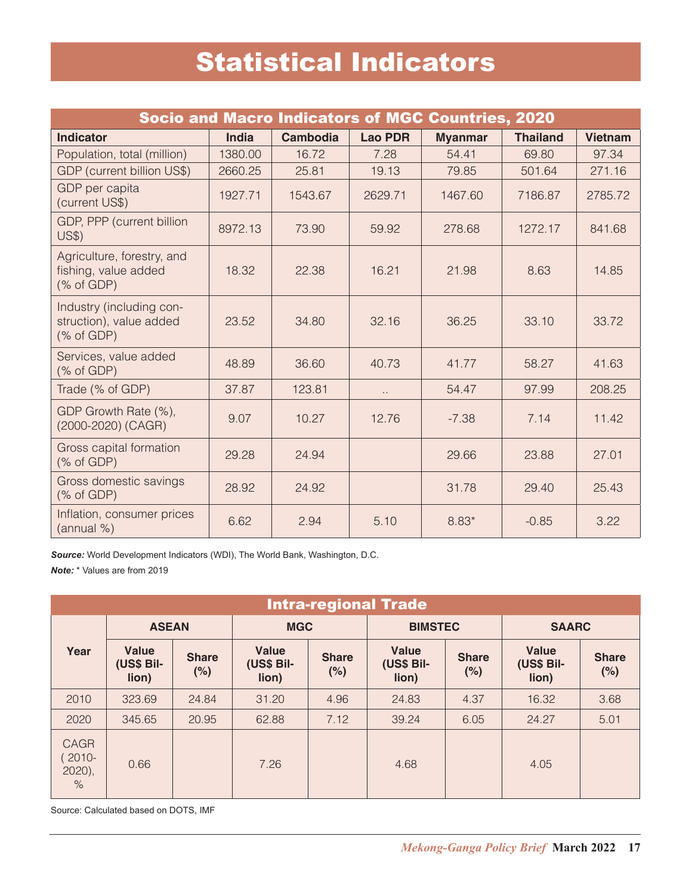## Statistical Indicators

| <b>Socio and Macro Indicators of MGC Countries, 2020</b>                                |              |                 |                |                |                 |                |  |  |
|-----------------------------------------------------------------------------------------|--------------|-----------------|----------------|----------------|-----------------|----------------|--|--|
| <b>Indicator</b>                                                                        | <b>India</b> | <b>Cambodia</b> | <b>Lao PDR</b> | <b>Myanmar</b> | <b>Thailand</b> | <b>Vietnam</b> |  |  |
| Population, total (million)                                                             | 1380.00      | 16.72           | 7.28           | 54.41          | 69.80           | 97.34          |  |  |
| GDP (current billion US\$)                                                              | 2660.25      | 25.81           | 19.13          | 79.85          | 501.64          | 271.16         |  |  |
| GDP per capita<br>(current US\$)                                                        | 1927.71      | 1543.67         | 2629.71        | 1467.60        | 7186.87         | 2785.72        |  |  |
| GDP, PPP (current billion<br><b>US\$)</b>                                               | 8972.13      | 73.90           | 59.92          | 278.68         | 1272.17         | 841.68         |  |  |
| Agriculture, forestry, and<br>fishing, value added<br>$(% \mathcal{L}_{0})$ (% of GDP)  | 18.32        | 22.38           | 16.21          | 21.98          | 8.63            | 14.85          |  |  |
| Industry (including con-<br>struction), value added<br>$(% \mathcal{L}_{0})$ (% of GDP) | 23.52        | 34.80           | 32.16          | 36.25          | 33.10           | 33.72          |  |  |
| Services, value added<br>$(% \mathcal{L}_{0})$ (% of GDP)                               | 48.89        | 36.60           | 40.73          | 41.77          | 58.27           | 41.63          |  |  |
| Trade (% of GDP)                                                                        | 37.87        | 123.81          | Ω,             | 54.47          | 97.99           | 208.25         |  |  |
| GDP Growth Rate (%),<br>(2000-2020) (CAGR)                                              | 9.07         | 10.27           | 12.76          | $-7.38$        | 7.14            | 11.42          |  |  |
| Gross capital formation<br>$(% \mathcal{L}_{0})$ (% of GDP)                             | 29.28        | 24.94           |                | 29.66          | 23.88           | 27.01          |  |  |
| Gross domestic savings<br>$(% \mathcal{L}_{0})$ (% of GDP)                              | 28.92        | 24.92           |                | 31.78          | 29.40           | 25.43          |  |  |
| Inflation, consumer prices<br>(annual %)                                                | 6.62         | 2.94            | 5.10           | $8.83*$        | $-0.85$         | 3.22           |  |  |

*Source:* World Development Indicators (WDI), The World Bank, Washington, D.C.

*Note:* \* Values are from 2019

| <b>Intra-regional Trade</b>                  |                              |                     |                                     |                     |                                     |                     |                                     |                     |
|----------------------------------------------|------------------------------|---------------------|-------------------------------------|---------------------|-------------------------------------|---------------------|-------------------------------------|---------------------|
|                                              | <b>ASEAN</b>                 |                     | <b>MGC</b>                          |                     | <b>BIMSTEC</b>                      |                     | <b>SAARC</b>                        |                     |
| Year                                         | Value<br>(US\$ Bil-<br>lion) | <b>Share</b><br>(%) | <b>Value</b><br>(US\$ Bil-<br>lion) | <b>Share</b><br>(%) | <b>Value</b><br>(US\$ Bil-<br>lion) | <b>Share</b><br>(%) | <b>Value</b><br>(US\$ Bil-<br>lion) | <b>Share</b><br>(%) |
| 2010                                         | 323.69                       | 24.84               | 31.20                               | 4.96                | 24.83                               | 4.37                | 16.32                               | 3.68                |
| 2020                                         | 345.65                       | 20.95               | 62.88                               | 7.12                | 39.24                               | 6.05                | 24.27                               | 5.01                |
| <b>CAGR</b><br>$2010 -$<br>$2020$ ),<br>$\%$ | 0.66                         |                     | 7.26                                |                     | 4.68                                |                     | 4.05                                |                     |

Source: Calculated based on DOTS, IMF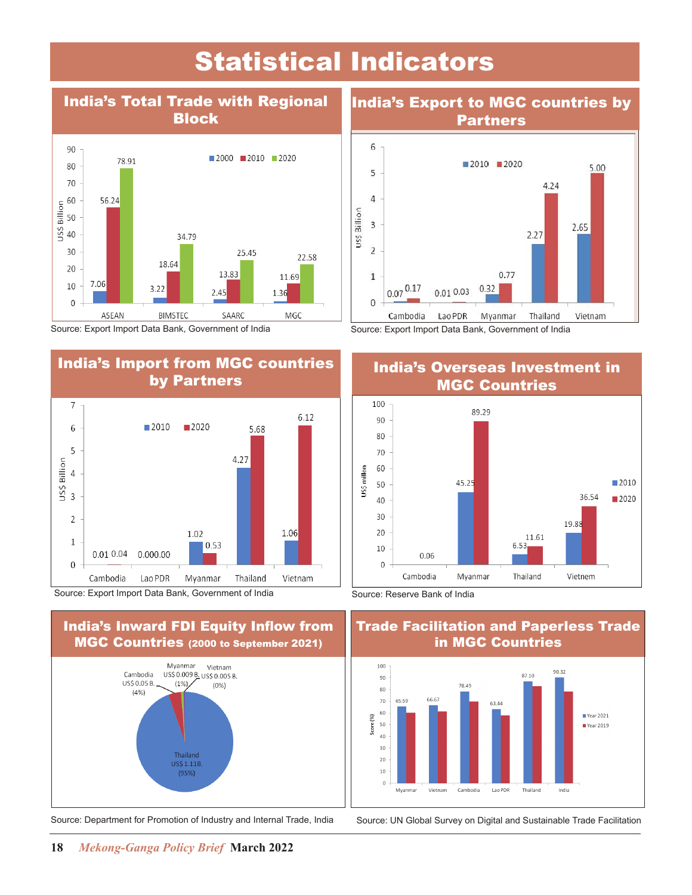## Statistical Indicators



Source: Export Import Data Bank, Government of India

### India's Import from MGC countries by Partners



Source: Export Import Data Bank, Government of India



Source: Department for Promotion of Industry and Internal Trade, India Source: UN Global Survey on Digital and Sustainable Trade Facilitation

### India's Export to MGC countries by Partners





# Trade Facilitation and Paperless Trade



India's Overseas Investment in Source: Export Import Data Bank, Government of India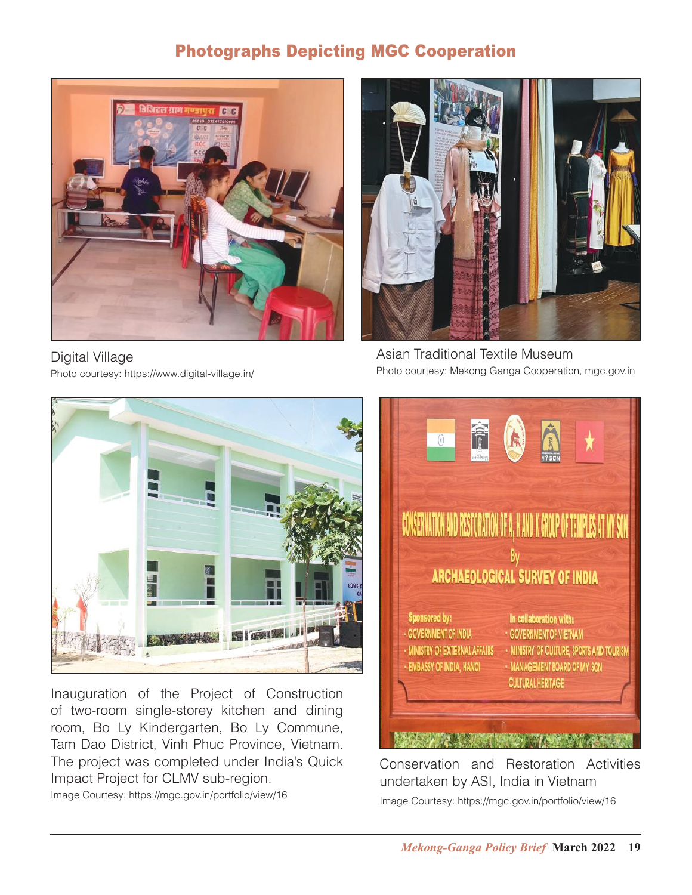### Photographs Depicting MGC Cooperation



Digital Village Photo courtesy: https://www.digital-village.in/



Asian Traditional Textile Museum Photo courtesy: Mekong Ganga Cooperation, mgc.gov.in



Inauguration of the Project of Construction of two-room single-storey kitchen and dining room, Bo Ly Kindergarten, Bo Ly Commune, Tam Dao District, Vinh Phuc Province, Vietnam. The project was completed under India's Quick Impact Project for CLMV sub-region.

Image Courtesy: https://mgc.gov.in/portfolio/view/16



Conservation and Restoration Activities undertaken by ASI, India in Vietnam Image Courtesy: https://mgc.gov.in/portfolio/view/16